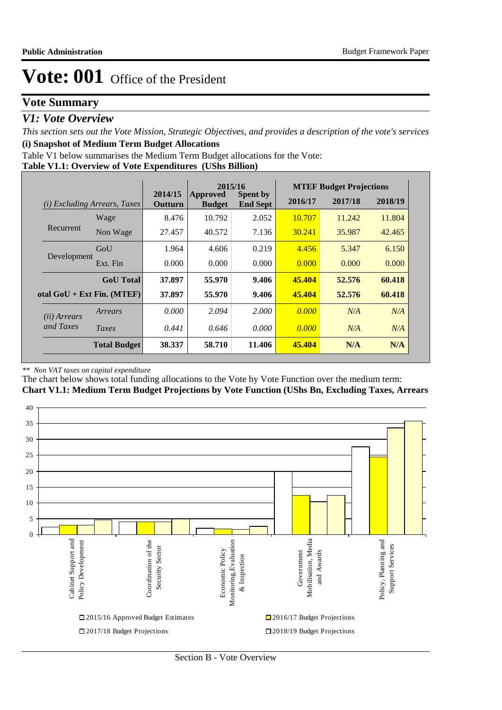### **Vote Summary**

### *V1: Vote Overview*

*This section sets out the Vote Mission, Strategic Objectives, and provides a description of the vote's services* **(i) Snapshot of Medium Term Budget Allocations** 

Table V1 below summarises the Medium Term Budget allocations for the Vote:

**Table V1.1: Overview of Vote Expenditures (UShs Billion)**

|                                 |                              | 2015/16            |                                  | <b>MTEF Budget Projections</b>     |         |         |         |
|---------------------------------|------------------------------|--------------------|----------------------------------|------------------------------------|---------|---------|---------|
| Excluding Arrears, Taxes<br>(i) |                              | 2014/15<br>Outturn | <b>Approved</b><br><b>Budget</b> | <b>Spent by</b><br><b>End Sept</b> | 2016/17 | 2017/18 | 2018/19 |
|                                 | Wage                         | 8.476              | 10.792                           | 2.052                              | 10.707  | 11.242  | 11.804  |
| Recurrent                       | Non Wage                     | 27.457             | 40.572                           | 7.136                              | 30.241  | 35.987  | 42.465  |
|                                 | GoU                          | 1.964              | 4.606                            | 0.219                              | 4.456   | 5.347   | 6.150   |
| Development                     | Ext. Fin                     | 0.000              | 0.000                            | 0.000                              | 0.000   | 0.000   | 0.000   |
|                                 | <b>GoU</b> Total             | 37.897             | 55,970                           | 9.406                              | 45.404  | 52.576  | 60.418  |
|                                 | otal $GoU + Ext Fin. (MTEF)$ | 37.897             | 55,970                           | 9.406                              | 45.404  | 52.576  | 60.418  |
| ( <i>ii</i> ) Arrears           | Arrears                      | 0.000              | 2.094                            | 2.000                              | 0.000   | N/A     | N/A     |
| and Taxes                       | Taxes                        | 0.441              | 0.646                            | 0.000                              | 0.000   | N/A     | N/A     |
|                                 | <b>Total Budget</b>          | 38.337             | 58.710                           | 11.406                             | 45.404  | N/A     | N/A     |

#### *\*\* Non VAT taxes on capital expenditure*

The chart below shows total funding allocations to the Vote by Vote Function over the medium term: **Chart V1.1: Medium Term Budget Projections by Vote Function (UShs Bn, Excluding Taxes, Arrears**

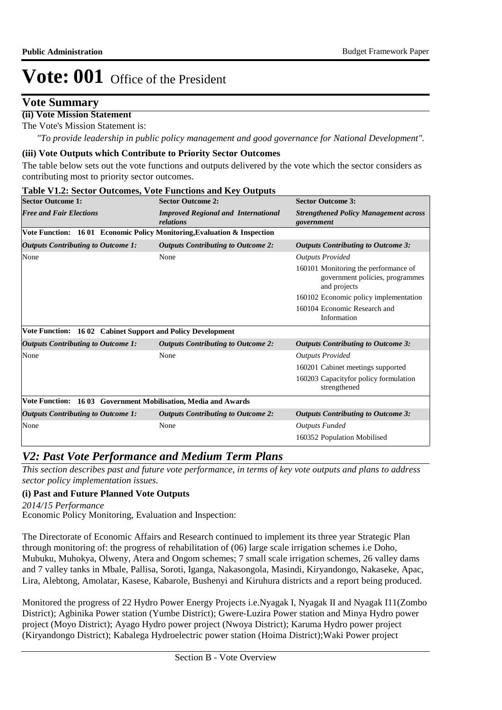### **Vote Summary**

### **(ii) Vote Mission Statement**

The Vote's Mission Statement is:

*"To provide leadership in public policy management and good governance for National Development".*

#### **(iii) Vote Outputs which Contribute to Priority Sector Outcomes**

The table below sets out the vote functions and outputs delivered by the vote which the sector considers as contributing most to priority sector outcomes.

## **Table V1.2: Sector Outcomes, Vote Functions and Key Outputs**

| <b>Sector Outcome 1:</b>                                      | <b>Sector Outcome 2:</b>                                                 | <b>Sector Outcome 3:</b>                                                                |
|---------------------------------------------------------------|--------------------------------------------------------------------------|-----------------------------------------------------------------------------------------|
| <b>Free and Fair Elections</b>                                | <b>Improved Regional and International</b><br>relations                  | <b>Strengthened Policy Management across</b><br>government                              |
|                                                               | Vote Function: 16 01 Economic Policy Monitoring, Evaluation & Inspection |                                                                                         |
| <b>Outputs Contributing to Outcome 1:</b>                     | <b>Outputs Contributing to Outcome 2:</b>                                | <b>Outputs Contributing to Outcome 3:</b>                                               |
| None                                                          | None                                                                     | <b>Outputs Provided</b>                                                                 |
|                                                               |                                                                          | 160101 Monitoring the performance of<br>government policies, programmes<br>and projects |
|                                                               |                                                                          | 160102 Economic policy implementation                                                   |
|                                                               |                                                                          | 160104 Economic Research and<br>Information                                             |
| Vote Function: 16 02 Cabinet Support and Policy Development   |                                                                          |                                                                                         |
| <b>Outputs Contributing to Outcome 1:</b>                     | <b>Outputs Contributing to Outcome 2:</b>                                | <b>Outputs Contributing to Outcome 3:</b>                                               |
| None                                                          | None                                                                     | <b>Outputs Provided</b>                                                                 |
|                                                               |                                                                          | 160201 Cabinet meetings supported                                                       |
|                                                               |                                                                          | 160203 Capacity for policy formulation<br>strengthened                                  |
| Vote Function: 1603 Government Mobilisation, Media and Awards |                                                                          |                                                                                         |
| <b>Outputs Contributing to Outcome 1:</b>                     | <b>Outputs Contributing to Outcome 2:</b>                                | <b>Outputs Contributing to Outcome 3:</b>                                               |
| None                                                          | None                                                                     | <b>Outputs Funded</b>                                                                   |
|                                                               |                                                                          | 160352 Population Mobilised                                                             |

### *V2: Past Vote Performance and Medium Term Plans*

*This section describes past and future vote performance, in terms of key vote outputs and plans to address sector policy implementation issues.* 

### **(i) Past and Future Planned Vote Outputs**

*2014/15 Performance*

Economic Policy Monitoring, Evaluation and Inspection:

The Directorate of Economic Affairs and Research continued to implement its three year Strategic Plan through monitoring of: the progress of rehabilitation of (06) large scale irrigation schemes i.e Doho, Mubuku, Muhokya, Olweny, Atera and Ongom schemes; 7 small scale irrigation schemes, 26 valley dams and 7 valley tanks in Mbale, Pallisa, Soroti, Iganga, Nakasongola, Masindi, Kiryandongo, Nakaseke, Apac, Lira, Alebtong, Amolatar, Kasese, Kabarole, Bushenyi and Kiruhura districts and a report being produced.

Monitored the progress of 22 Hydro Power Energy Projects i.e.Nyagak I, Nyagak II and Nyagak I11(Zombo District); Agbinika Power station (Yumbe District); Gwere-Luzira Power station and Minya Hydro power project (Moyo District); Ayago Hydro power project (Nwoya District); Karuma Hydro power project (Kiryandongo District); Kabalega Hydroelectric power station (Hoima District);Waki Power project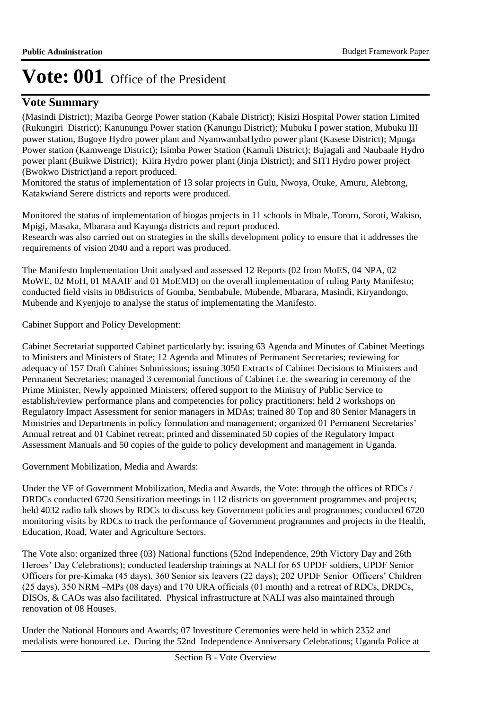## **Vote Summary**

(Masindi District); Maziba George Power station (Kabale District); Kisizi Hospital Power station Limited (Rukungiri District); Kanunungu Power station (Kanungu District); Mubuku I power station, Mubuku III power station, Bugoye Hydro power plant and NyamwambaHydro power plant (Kasese District); Mpnga Power station (Kamwenge District); Isimba Power Station (Kamuli District); Bujagali and Naubaale Hydro power plant (Buikwe District); Kiira Hydro power plant (Jinja District); and SITI Hydro power project (Bwokwo District)and a report produced.

Monitored the status of implementation of 13 solar projects in Gulu, Nwoya, Otuke, Amuru, Alebtong, Katakwiand Serere districts and reports were produced.

Monitored the status of implementation of biogas projects in 11 schools in Mbale, Tororo, Soroti, Wakiso, Mpigi, Masaka, Mbarara and Kayunga districts and report produced.

Research was also carried out on strategies in the skills development policy to ensure that it addresses the requirements of vision 2040 and a report was produced.

The Manifesto Implementation Unit analysed and assessed 12 Reports (02 from MoES, 04 NPA, 02 MoWE, 02 MoH, 01 MAAIF and 01 MoEMD) on the overall implementation of ruling Party Manifesto; conducted field visits in 08districts of Gomba, Sembabule, Mubende, Mbarara, Masindi, Kiryandongo, Mubende and Kyenjojo to analyse the status of implementating the Manifesto.

Cabinet Support and Policy Development:

Cabinet Secretariat supported Cabinet particularly by: issuing 63 Agenda and Minutes of Cabinet Meetings to Ministers and Ministers of State; 12 Agenda and Minutes of Permanent Secretaries; reviewing for adequacy of 157 Draft Cabinet Submissions; issuing 3050 Extracts of Cabinet Decisions to Ministers and Permanent Secretaries; managed 3 ceremonial functions of Cabinet i.e. the swearing in ceremony of the Prime Minister, Newly appointed Ministers; offered support to the Ministry of Public Service to establish/review performance plans and competencies for policy practitioners; held 2 workshops on Regulatory Impact Assessment for senior managers in MDAs; trained 80 Top and 80 Senior Managers in Ministries and Departments in policy formulation and management; organized 01 Permanent Secretaries' Annual retreat and 01 Cabinet retreat; printed and disseminated 50 copies of the Regulatory Impact Assessment Manuals and 50 copies of the guide to policy development and management in Uganda.

Government Mobilization, Media and Awards:

Under the VF of Government Mobilization, Media and Awards, the Vote: through the offices of RDCs / DRDCs conducted 6720 Sensitization meetings in 112 districts on government programmes and projects; held 4032 radio talk shows by RDCs to discuss key Government policies and programmes; conducted 6720 monitoring visits by RDCs to track the performance of Government programmes and projects in the Health, Education, Road, Water and Agriculture Sectors.

The Vote also: organized three (03) National functions (52nd Independence, 29th Victory Day and 26th Heroes' Day Celebrations); conducted leadership trainings at NALI for 65 UPDF soldiers, UPDF Senior Officers for pre-Kimaka (45 days), 360 Senior six leavers (22 days); 202 UPDF Senior Officers' Children (25 days), 350 NRM –MPs (08 days) and 170 URA officials (01 month) and a retreat of RDCs, DRDCs, DISOs, & CAOs was also facilitated. Physical infrastructure at NALI was also maintained through renovation of 08 Houses.

Under the National Honours and Awards; 07 Investiture Ceremonies were held in which 2352 and medalists were honoured i.e. During the 52nd Independence Anniversary Celebrations; Uganda Police at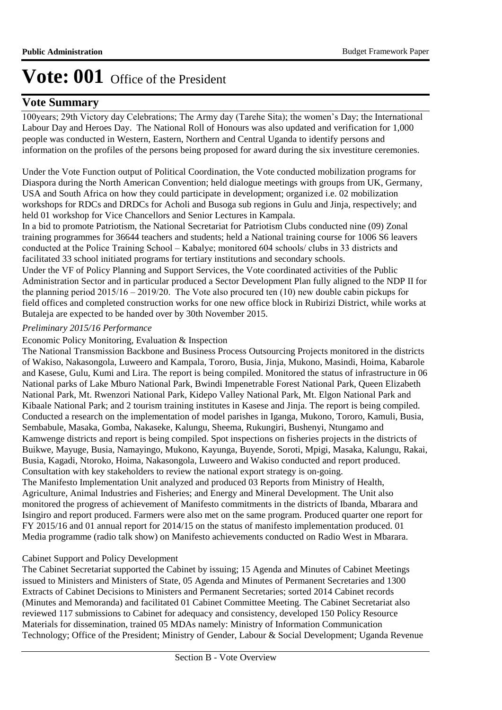## **Vote Summary**

100years; 29th Victory day Celebrations; The Army day (Tarehe Sita); the women's Day; the International Labour Day and Heroes Day. The National Roll of Honours was also updated and verification for 1,000 people was conducted in Western, Eastern, Northern and Central Uganda to identify persons and information on the profiles of the persons being proposed for award during the six investiture ceremonies.

Under the Vote Function output of Political Coordination, the Vote conducted mobilization programs for Diaspora during the North American Convention; held dialogue meetings with groups from UK, Germany, USA and South Africa on how they could participate in development; organized i.e. 02 mobilization workshops for RDCs and DRDCs for Acholi and Busoga sub regions in Gulu and Jinja, respectively; and held 01 workshop for Vice Chancellors and Senior Lectures in Kampala.

In a bid to promote Patriotism, the National Secretariat for Patriotism Clubs conducted nine (09) Zonal training programmes for 36644 teachers and students; held a National training course for 1006 S6 leavers conducted at the Police Training School – Kabalye; monitored 604 schools/ clubs in 33 districts and facilitated 33 school initiated programs for tertiary institutions and secondary schools.

Under the VF of Policy Planning and Support Services, the Vote coordinated activities of the Public Administration Sector and in particular produced a Sector Development Plan fully aligned to the NDP II for the planning period 2015/16 – 2019/20. The Vote also procured ten (10) new double cabin pickups for field offices and completed construction works for one new office block in Rubirizi District, while works at Butaleja are expected to be handed over by 30th November 2015.

### *Preliminary 2015/16 Performance*

### Economic Policy Monitoring, Evaluation & Inspection

The National Transmission Backbone and Business Process Outsourcing Projects monitored in the districts of Wakiso, Nakasongola, Luweero and Kampala, Tororo, Busia, Jinja, Mukono, Masindi, Hoima, Kabarole and Kasese, Gulu, Kumi and Lira. The report is being compiled. Monitored the status of infrastructure in 06 National parks of Lake Mburo National Park, Bwindi Impenetrable Forest National Park, Queen Elizabeth National Park, Mt. Rwenzori National Park, Kidepo Valley National Park, Mt. Elgon National Park and Kibaale National Park; and 2 tourism training institutes in Kasese and Jinja. The report is being compiled. Conducted a research on the implementation of model parishes in Iganga, Mukono, Tororo, Kamuli, Busia, Sembabule, Masaka, Gomba, Nakaseke, Kalungu, Sheema, Rukungiri, Bushenyi, Ntungamo and Kamwenge districts and report is being compiled. Spot inspections on fisheries projects in the districts of Buikwe, Mayuge, Busia, Namayingo, Mukono, Kayunga, Buyende, Soroti, Mpigi, Masaka, Kalungu, Rakai, Busia, Kagadi, Ntoroko, Hoima, Nakasongola, Luweero and Wakiso conducted and report produced. Consultation with key stakeholders to review the national export strategy is on-going. The Manifesto Implementation Unit analyzed and produced 03 Reports from Ministry of Health, Agriculture, Animal Industries and Fisheries; and Energy and Mineral Development. The Unit also monitored the progress of achievement of Manifesto commitments in the districts of Ibanda, Mbarara and Isingiro and report produced. Farmers were also met on the same program. Produced quarter one report for FY 2015/16 and 01 annual report for 2014/15 on the status of manifesto implementation produced. 01 Media programme (radio talk show) on Manifesto achievements conducted on Radio West in Mbarara.

### Cabinet Support and Policy Development

The Cabinet Secretariat supported the Cabinet by issuing; 15 Agenda and Minutes of Cabinet Meetings issued to Ministers and Ministers of State, 05 Agenda and Minutes of Permanent Secretaries and 1300 Extracts of Cabinet Decisions to Ministers and Permanent Secretaries; sorted 2014 Cabinet records (Minutes and Memoranda) and facilitated 01 Cabinet Committee Meeting. The Cabinet Secretariat also reviewed 117 submissions to Cabinet for adequacy and consistency, developed 150 Policy Resource Materials for dissemination, trained 05 MDAs namely: Ministry of Information Communication Technology; Office of the President; Ministry of Gender, Labour & Social Development; Uganda Revenue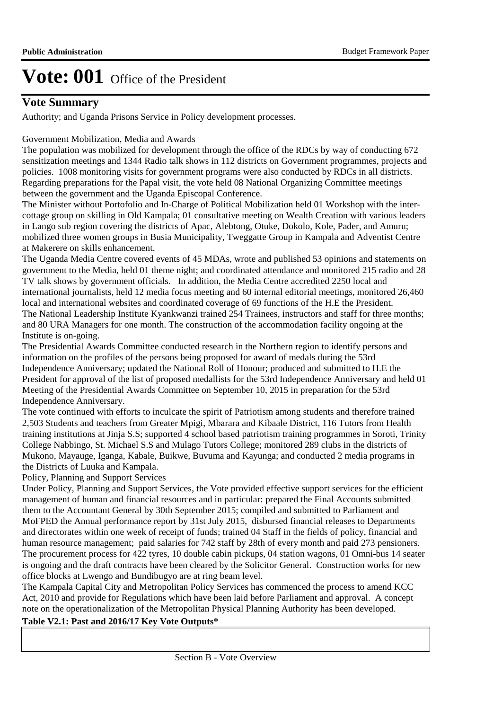## **Vote Summary**

Authority; and Uganda Prisons Service in Policy development processes.

#### Government Mobilization, Media and Awards

The population was mobilized for development through the office of the RDCs by way of conducting 672 sensitization meetings and 1344 Radio talk shows in 112 districts on Government programmes, projects and policies. 1008 monitoring visits for government programs were also conducted by RDCs in all districts. Regarding preparations for the Papal visit, the vote held 08 National Organizing Committee meetings between the government and the Uganda Episcopal Conference.

The Minister without Portofolio and In-Charge of Political Mobilization held 01 Workshop with the intercottage group on skilling in Old Kampala; 01 consultative meeting on Wealth Creation with various leaders in Lango sub region covering the districts of Apac, Alebtong, Otuke, Dokolo, Kole, Pader, and Amuru; mobilized three women groups in Busia Municipality, Tweggatte Group in Kampala and Adventist Centre at Makerere on skills enhancement.

The Uganda Media Centre covered events of 45 MDAs, wrote and published 53 opinions and statements on government to the Media, held 01 theme night; and coordinated attendance and monitored 215 radio and 28 TV talk shows by government officials. In addition, the Media Centre accredited 2250 local and international journalists, held 12 media focus meeting and 60 internal editorial meetings, monitored 26,460 local and international websites and coordinated coverage of 69 functions of the H.E the President. The National Leadership Institute Kyankwanzi trained 254 Trainees, instructors and staff for three months; and 80 URA Managers for one month. The construction of the accommodation facility ongoing at the Institute is on-going.

The Presidential Awards Committee conducted research in the Northern region to identify persons and information on the profiles of the persons being proposed for award of medals during the 53rd Independence Anniversary; updated the National Roll of Honour; produced and submitted to H.E the President for approval of the list of proposed medallists for the 53rd Independence Anniversary and held 01 Meeting of the Presidential Awards Committee on September 10, 2015 in preparation for the 53rd Independence Anniversary.

The vote continued with efforts to inculcate the spirit of Patriotism among students and therefore trained 2,503 Students and teachers from Greater Mpigi, Mbarara and Kibaale District, 116 Tutors from Health training institutions at Jinja S.S; supported 4 school based patriotism training programmes in Soroti, Trinity College Nabbingo, St. Michael S.S and Mulago Tutors College; monitored 289 clubs in the districts of Mukono, Mayauge, Iganga, Kabale, Buikwe, Buvuma and Kayunga; and conducted 2 media programs in the Districts of Luuka and Kampala.

Policy, Planning and Support Services

Under Policy, Planning and Support Services, the Vote provided effective support services for the efficient management of human and financial resources and in particular: prepared the Final Accounts submitted them to the Accountant General by 30th September 2015; compiled and submitted to Parliament and MoFPED the Annual performance report by 31st July 2015, disbursed financial releases to Departments and directorates within one week of receipt of funds; trained 04 Staff in the fields of policy, financial and human resource management; paid salaries for 742 staff by 28th of every month and paid 273 pensioners. The procurement process for 422 tyres, 10 double cabin pickups, 04 station wagons, 01 Omni-bus 14 seater is ongoing and the draft contracts have been cleared by the Solicitor General. Construction works for new office blocks at Lwengo and Bundibugyo are at ring beam level.

The Kampala Capital City and Metropolitan Policy Services has commenced the process to amend KCC Act, 2010 and provide for Regulations which have been laid before Parliament and approval. A concept note on the operationalization of the Metropolitan Physical Planning Authority has been developed.

### **Table V2.1: Past and 2016/17 Key Vote Outputs\***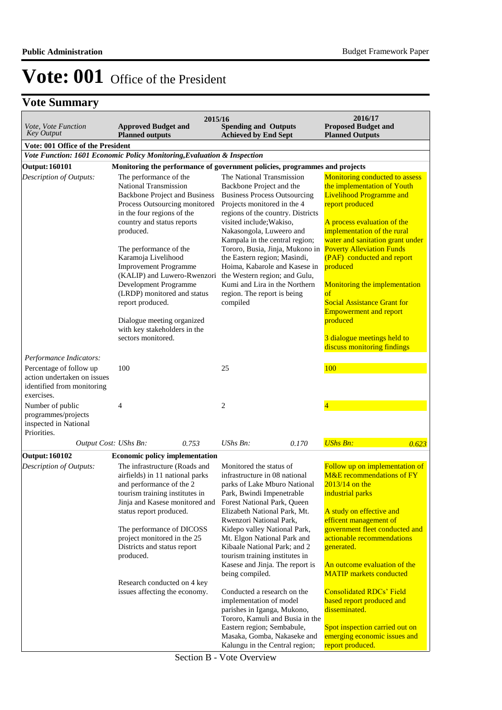| Vote, Vote Function                                                                                          | <b>Approved Budget and</b>                                                                                                                                                                                                                                                                                                                                                                                                                              | 2015/16 | <b>Spending and Outputs</b>                                                                                                                                                                                                                                                                                                                                                                                                                    |       | 2016/17<br><b>Proposed Budget and</b>                                                                                                                                                                                                                                                                                                                                                                                                                                                               |
|--------------------------------------------------------------------------------------------------------------|---------------------------------------------------------------------------------------------------------------------------------------------------------------------------------------------------------------------------------------------------------------------------------------------------------------------------------------------------------------------------------------------------------------------------------------------------------|---------|------------------------------------------------------------------------------------------------------------------------------------------------------------------------------------------------------------------------------------------------------------------------------------------------------------------------------------------------------------------------------------------------------------------------------------------------|-------|-----------------------------------------------------------------------------------------------------------------------------------------------------------------------------------------------------------------------------------------------------------------------------------------------------------------------------------------------------------------------------------------------------------------------------------------------------------------------------------------------------|
| <b>Key Output</b>                                                                                            | <b>Planned outputs</b>                                                                                                                                                                                                                                                                                                                                                                                                                                  |         | <b>Achieved by End Sept</b>                                                                                                                                                                                                                                                                                                                                                                                                                    |       | <b>Planned Outputs</b>                                                                                                                                                                                                                                                                                                                                                                                                                                                                              |
| Vote: 001 Office of the President<br>Vote Function: 1601 Economic Policy Monitoring, Evaluation & Inspection |                                                                                                                                                                                                                                                                                                                                                                                                                                                         |         |                                                                                                                                                                                                                                                                                                                                                                                                                                                |       |                                                                                                                                                                                                                                                                                                                                                                                                                                                                                                     |
| <b>Output: 160101</b>                                                                                        |                                                                                                                                                                                                                                                                                                                                                                                                                                                         |         | Monitoring the performance of government policies, programmes and projects                                                                                                                                                                                                                                                                                                                                                                     |       |                                                                                                                                                                                                                                                                                                                                                                                                                                                                                                     |
|                                                                                                              | The performance of the                                                                                                                                                                                                                                                                                                                                                                                                                                  |         | The National Transmission                                                                                                                                                                                                                                                                                                                                                                                                                      |       |                                                                                                                                                                                                                                                                                                                                                                                                                                                                                                     |
| Description of Outputs:                                                                                      | National Transmission<br><b>Backbone Project and Business</b><br>Process Outsourcing monitored<br>in the four regions of the<br>country and status reports<br>produced.<br>The performance of the<br>Karamoja Livelihood<br><b>Improvement Programme</b><br>(KALIP) and Luwero-Rwenzori<br>Development Programme<br>(LRDP) monitored and status<br>report produced.<br>Dialogue meeting organized<br>with key stakeholders in the<br>sectors monitored. |         | Backbone Project and the<br><b>Business Process Outsourcing</b><br>Projects monitored in the 4<br>regions of the country. Districts<br>visited include; Wakiso,<br>Nakasongola, Luweero and<br>Kampala in the central region;<br>Tororo, Busia, Jinja, Mukono in<br>the Eastern region; Masindi,<br>Hoima, Kabarole and Kasese in<br>the Western region; and Gulu,<br>Kumi and Lira in the Northern<br>region. The report is being<br>compiled |       | Monitoring conducted to assess<br>the implementation of Youth<br><b>Livelihood Programme and</b><br>report produced<br>A process evaluation of the<br>implementation of the rural<br>water and sanitation grant under<br><b>Poverty Alleviation Funds</b><br>(PAF) conducted and report<br>produced<br>Monitoring the implementation<br>$\sigma f$<br><b>Social Assistance Grant for</b><br><b>Empowerment and report</b><br>produced<br>3 dialogue meetings held to<br>discuss monitoring findings |
| Performance Indicators:                                                                                      |                                                                                                                                                                                                                                                                                                                                                                                                                                                         |         |                                                                                                                                                                                                                                                                                                                                                                                                                                                |       |                                                                                                                                                                                                                                                                                                                                                                                                                                                                                                     |
| Percentage of follow up<br>action undertaken on issues<br>identified from monitoring                         | 100                                                                                                                                                                                                                                                                                                                                                                                                                                                     |         | 25                                                                                                                                                                                                                                                                                                                                                                                                                                             |       | 100                                                                                                                                                                                                                                                                                                                                                                                                                                                                                                 |
| exercises.                                                                                                   |                                                                                                                                                                                                                                                                                                                                                                                                                                                         |         |                                                                                                                                                                                                                                                                                                                                                                                                                                                |       |                                                                                                                                                                                                                                                                                                                                                                                                                                                                                                     |
| Number of public<br>programmes/projects<br>inspected in National<br>Priorities.                              | 4                                                                                                                                                                                                                                                                                                                                                                                                                                                       |         | $\overline{c}$                                                                                                                                                                                                                                                                                                                                                                                                                                 |       | $\overline{4}$                                                                                                                                                                                                                                                                                                                                                                                                                                                                                      |
| Output Cost: UShs Bn:                                                                                        |                                                                                                                                                                                                                                                                                                                                                                                                                                                         | 0.753   | $UShs Bn$ :                                                                                                                                                                                                                                                                                                                                                                                                                                    | 0.170 | <b>UShs Bn:</b><br>0.623                                                                                                                                                                                                                                                                                                                                                                                                                                                                            |
| <b>Output: 160102</b>                                                                                        | <b>Economic policy implementation</b>                                                                                                                                                                                                                                                                                                                                                                                                                   |         |                                                                                                                                                                                                                                                                                                                                                                                                                                                |       |                                                                                                                                                                                                                                                                                                                                                                                                                                                                                                     |
| Description of Outputs:                                                                                      | The infrastructure (Roads and<br>airfields) in 11 national parks<br>and performance of the 2<br>tourism training institutes in<br>Jinja and Kasese monitored and<br>status report produced.<br>The performance of DICOSS<br>project monitored in the 25<br>Districts and status report<br>produced.<br>Research conducted on 4 key<br>issues affecting the economy.                                                                                     |         | Monitored the status of<br>infrastructure in 08 national<br>parks of Lake Mburo National<br>Park, Bwindi Impenetrable<br>Forest National Park, Queen<br>Elizabeth National Park, Mt.<br>Rwenzori National Park,<br>Kidepo valley National Park,<br>Mt. Elgon National Park and<br>Kibaale National Park; and 2<br>tourism training institutes in<br>Kasese and Jinja. The report is<br>being compiled.<br>Conducted a research on the          |       | Follow up on implementation of<br>M&E recommendations of FY<br>$2013/14$ on the<br>industrial parks<br>A study on effective and<br>efficent management of<br>government fleet conducted and<br>actionable recommendations<br>generated.<br>An outcome evaluation of the<br><b>MATIP</b> markets conducted<br><b>Consolidated RDCs' Field</b>                                                                                                                                                        |
|                                                                                                              |                                                                                                                                                                                                                                                                                                                                                                                                                                                         |         | implementation of model<br>parishes in Iganga, Mukono,<br>Tororo, Kamuli and Busia in the<br>Eastern region; Sembabule,<br>Masaka, Gomba, Nakaseke and<br>Kalungu in the Central region;                                                                                                                                                                                                                                                       |       | based report produced and<br>disseminated.<br>Spot inspection carried out on<br>emerging economic issues and<br>report produced.                                                                                                                                                                                                                                                                                                                                                                    |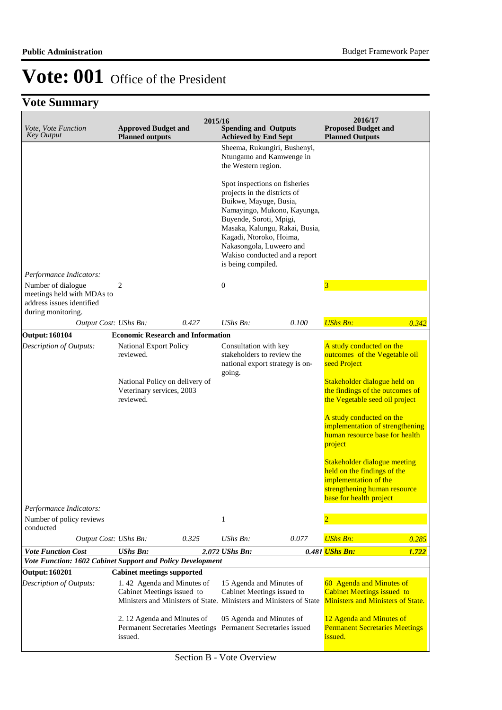| Vote, Vote Function<br><b>Key Output</b>                                                | <b>Approved Budget and</b><br><b>Planned outputs</b>                                                                           | 2015/16 | <b>Spending and Outputs</b><br><b>Achieved by End Sept</b>                                                                                                                    |                                                                                                                                                                                                                         | 2016/17<br><b>Proposed Budget and</b><br><b>Planned Outputs</b>                                                                                                                                                                                                                                                                                                                                                                                      |       |  |
|-----------------------------------------------------------------------------------------|--------------------------------------------------------------------------------------------------------------------------------|---------|-------------------------------------------------------------------------------------------------------------------------------------------------------------------------------|-------------------------------------------------------------------------------------------------------------------------------------------------------------------------------------------------------------------------|------------------------------------------------------------------------------------------------------------------------------------------------------------------------------------------------------------------------------------------------------------------------------------------------------------------------------------------------------------------------------------------------------------------------------------------------------|-------|--|
| Performance Indicators:<br>Number of dialogue<br>meetings held with MDAs to             | 2                                                                                                                              |         | the Western region.<br>projects in the districts of<br>Buikwe, Mayuge, Busia,<br>Buyende, Soroti, Mpigi,<br>Kagadi, Ntoroko, Hoima,<br>is being compiled.<br>$\boldsymbol{0}$ | Sheema, Rukungiri, Bushenyi,<br>Ntungamo and Kamwenge in<br>Spot inspections on fisheries<br>Namayingo, Mukono, Kayunga,<br>Masaka, Kalungu, Rakai, Busia,<br>Nakasongola, Luweero and<br>Wakiso conducted and a report | $\overline{\mathbf{3}}$                                                                                                                                                                                                                                                                                                                                                                                                                              |       |  |
| address issues identified<br>during monitoring.                                         |                                                                                                                                |         |                                                                                                                                                                               |                                                                                                                                                                                                                         |                                                                                                                                                                                                                                                                                                                                                                                                                                                      |       |  |
| Output Cost: UShs Bn:                                                                   |                                                                                                                                | 0.427   | $UShs Bn$ :                                                                                                                                                                   | 0.100                                                                                                                                                                                                                   | <b>UShs Bn:</b>                                                                                                                                                                                                                                                                                                                                                                                                                                      | 0.342 |  |
| <b>Output: 160104</b>                                                                   | <b>Economic Research and Information</b>                                                                                       |         |                                                                                                                                                                               |                                                                                                                                                                                                                         |                                                                                                                                                                                                                                                                                                                                                                                                                                                      |       |  |
| Description of Outputs:                                                                 | <b>National Export Policy</b><br>reviewed.<br>National Policy on delivery of<br>Veterinary services, 2003<br>reviewed.         |         | Consultation with key<br>stakeholders to review the<br>going.                                                                                                                 | national export strategy is on-                                                                                                                                                                                         | A study conducted on the<br>outcomes of the Vegetable oil<br>seed Project<br>Stakeholder dialogue held on<br>the findings of the outcomes of<br>the Vegetable seed oil project<br>A study conducted on the<br>implementation of strengthening<br>human resource base for health<br>project<br><b>Stakeholder dialogue meeting</b><br>held on the findings of the<br>implementation of the<br>strengthening human resource<br>base for health project |       |  |
| Performance Indicators:                                                                 |                                                                                                                                |         |                                                                                                                                                                               |                                                                                                                                                                                                                         |                                                                                                                                                                                                                                                                                                                                                                                                                                                      |       |  |
| Number of policy reviews<br>conducted                                                   |                                                                                                                                | 0.325   | 1<br>UShs Bn:                                                                                                                                                                 | 0.077                                                                                                                                                                                                                   | $\overline{2}$<br><b>UShs Bn:</b>                                                                                                                                                                                                                                                                                                                                                                                                                    |       |  |
| Output Cost: UShs Bn:                                                                   | <b>UShs Bn:</b>                                                                                                                |         |                                                                                                                                                                               |                                                                                                                                                                                                                         | 0.481 <i>UShs Bn:</i>                                                                                                                                                                                                                                                                                                                                                                                                                                | 0.285 |  |
| <b>Vote Function Cost</b><br>Vote Function: 1602 Cabinet Support and Policy Development |                                                                                                                                |         | 2.072 UShs Bn:                                                                                                                                                                |                                                                                                                                                                                                                         |                                                                                                                                                                                                                                                                                                                                                                                                                                                      | 1.722 |  |
| <b>Output: 160201</b>                                                                   | <b>Cabinet meetings supported</b>                                                                                              |         |                                                                                                                                                                               |                                                                                                                                                                                                                         |                                                                                                                                                                                                                                                                                                                                                                                                                                                      |       |  |
| Description of Outputs:                                                                 | 1.42 Agenda and Minutes of<br>Cabinet Meetings issued to<br>Ministers and Ministers of State. Ministers and Ministers of State |         | 15 Agenda and Minutes of<br>Cabinet Meetings issued to                                                                                                                        |                                                                                                                                                                                                                         | 60 Agenda and Minutes of<br><b>Cabinet Meetings issued to</b><br><b>Ministers and Ministers of State.</b>                                                                                                                                                                                                                                                                                                                                            |       |  |
|                                                                                         | 2.12 Agenda and Minutes of<br><b>Permanent Secretaries Meetings</b><br>issued.                                                 |         | 05 Agenda and Minutes of                                                                                                                                                      | Permanent Secretaries issued                                                                                                                                                                                            | 12 Agenda and Minutes of<br><b>Permanent Secretaries Meetings</b><br>issued.                                                                                                                                                                                                                                                                                                                                                                         |       |  |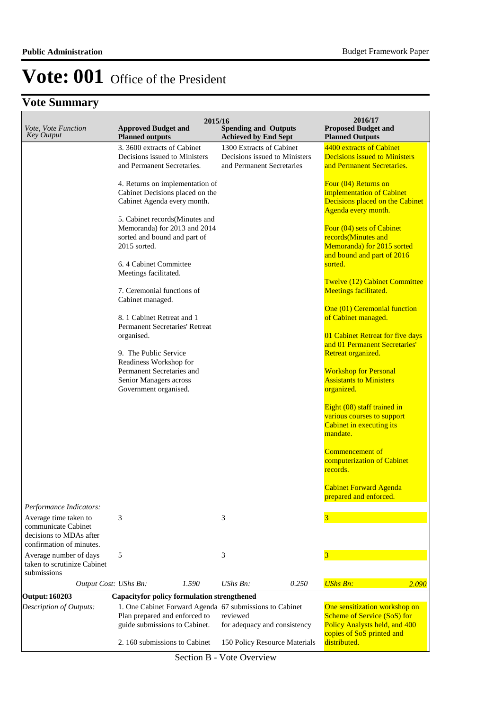## **Vote Summary**

| Vote, Vote Function<br><b>Key Output</b>                                                            | 2015/16<br><b>Approved Budget and</b><br><b>Planned outputs</b>                                                                                                                                                       | <b>Spending and Outputs</b><br><b>Achieved by End Sept</b>                             | 2016/17<br><b>Proposed Budget and</b><br><b>Planned Outputs</b>                                                                                                                               |
|-----------------------------------------------------------------------------------------------------|-----------------------------------------------------------------------------------------------------------------------------------------------------------------------------------------------------------------------|----------------------------------------------------------------------------------------|-----------------------------------------------------------------------------------------------------------------------------------------------------------------------------------------------|
|                                                                                                     | 3.3600 extracts of Cabinet<br>Decisions issued to Ministers<br>and Permanent Secretaries.                                                                                                                             | 1300 Extracts of Cabinet<br>Decisions issued to Ministers<br>and Permanent Secretaries | 4400 extracts of Cabinet<br><b>Decisions issued to Ministers</b><br>and Permanent Secretaries.                                                                                                |
|                                                                                                     | 4. Returns on implementation of<br>Cabinet Decisions placed on the<br>Cabinet Agenda every month.<br>5. Cabinet records(Minutes and<br>Memoranda) for 2013 and 2014<br>sorted and bound and part of<br>$2015$ sorted. |                                                                                        | Four (04) Returns on<br>implementation of Cabinet<br>Decisions placed on the Cabinet<br>Agenda every month.<br>Four (04) sets of Cabinet<br>records(Minutes and<br>Memoranda) for 2015 sorted |
|                                                                                                     | 6.4 Cabinet Committee<br>Meetings facilitated.                                                                                                                                                                        |                                                                                        | and bound and part of 2016<br>sorted.<br>Twelve (12) Cabinet Committee                                                                                                                        |
|                                                                                                     | 7. Ceremonial functions of<br>Cabinet managed.<br>8. 1 Cabinet Retreat and 1                                                                                                                                          |                                                                                        | Meetings facilitated.<br>One (01) Ceremonial function                                                                                                                                         |
|                                                                                                     | <b>Permanent Secretaries' Retreat</b><br>organised.                                                                                                                                                                   |                                                                                        | of Cabinet managed.<br>01 Cabinet Retreat for five days<br>and 01 Permanent Secretaries'                                                                                                      |
|                                                                                                     | 9. The Public Service<br>Readiness Workshop for<br>Permanent Secretaries and<br>Senior Managers across<br>Government organised.                                                                                       |                                                                                        | Retreat organized.<br><b>Workshop for Personal</b><br><b>Assistants to Ministers</b><br>organized.                                                                                            |
|                                                                                                     |                                                                                                                                                                                                                       |                                                                                        | Eight (08) staff trained in<br>various courses to support<br>Cabinet in executing its<br>mandate.                                                                                             |
|                                                                                                     |                                                                                                                                                                                                                       |                                                                                        | <b>Commencement of</b><br>computerization of Cabinet<br>records.                                                                                                                              |
| Performance Indicators:                                                                             |                                                                                                                                                                                                                       |                                                                                        | <b>Cabinet Forward Agenda</b><br>prepared and enforced.                                                                                                                                       |
| Average time taken to<br>communicate Cabinet<br>decisions to MDAs after<br>confirmation of minutes. | 3                                                                                                                                                                                                                     | 3                                                                                      | $\overline{\mathbf{3}}$                                                                                                                                                                       |
| Average number of days<br>taken to scrutinize Cabinet<br>submissions                                | 5                                                                                                                                                                                                                     | 3                                                                                      | 3                                                                                                                                                                                             |
| Output Cost: UShs Bn:                                                                               | 1.590                                                                                                                                                                                                                 | $UShs Bn$ :<br>0.250                                                                   | <b>UShs Bn:</b><br>2.090                                                                                                                                                                      |
| <b>Output: 160203</b><br>Description of Outputs:                                                    | <b>Capacityfor policy formulation strengthened</b><br>1. One Cabinet Forward Agenda 67 submissions to Cabinet<br>Plan prepared and enforced to<br>guide submissions to Cabinet.                                       | reviewed<br>for adequacy and consistency                                               | One sensitization workshop on<br>Scheme of Service (SoS) for<br><b>Policy Analysts held, and 400</b>                                                                                          |
|                                                                                                     | 2.160 submissions to Cabinet                                                                                                                                                                                          | 150 Policy Resource Materials                                                          | copies of SoS printed and<br>distributed.                                                                                                                                                     |

Section B - Vote Overview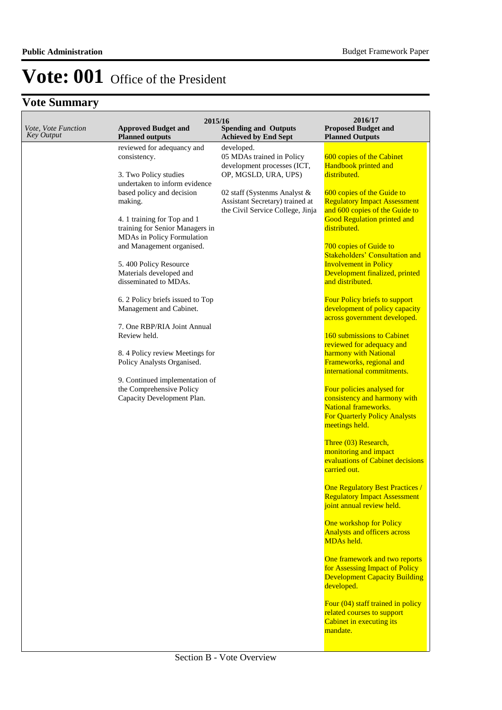| Vote, Vote Function | 2015/16<br><b>Approved Budget and</b>                                                                                                                                                                                                                                                                                                                                                                                                                                                                                                                                                                                                                      | <b>Spending and Outputs</b>                                                                                                                                                                                                          | 2016/17<br><b>Proposed Budget and</b>                                                                                                                                                                                                                                                                                                                                                                                                                                                                                                                                                                                                                                                                                                                                                                                                                                                                                                                                                                                                                                                                                                                                                                                                                                                                                                                     |
|---------------------|------------------------------------------------------------------------------------------------------------------------------------------------------------------------------------------------------------------------------------------------------------------------------------------------------------------------------------------------------------------------------------------------------------------------------------------------------------------------------------------------------------------------------------------------------------------------------------------------------------------------------------------------------------|--------------------------------------------------------------------------------------------------------------------------------------------------------------------------------------------------------------------------------------|-----------------------------------------------------------------------------------------------------------------------------------------------------------------------------------------------------------------------------------------------------------------------------------------------------------------------------------------------------------------------------------------------------------------------------------------------------------------------------------------------------------------------------------------------------------------------------------------------------------------------------------------------------------------------------------------------------------------------------------------------------------------------------------------------------------------------------------------------------------------------------------------------------------------------------------------------------------------------------------------------------------------------------------------------------------------------------------------------------------------------------------------------------------------------------------------------------------------------------------------------------------------------------------------------------------------------------------------------------------|
| <b>Key Output</b>   | <b>Planned outputs</b><br>reviewed for adequancy and<br>consistency.<br>3. Two Policy studies<br>undertaken to inform evidence<br>based policy and decision<br>making.<br>4. 1 training for Top and 1<br>training for Senior Managers in<br>MDAs in Policy Formulation<br>and Management organised.<br>5.400 Policy Resource<br>Materials developed and<br>disseminated to MDAs.<br>6. 2 Policy briefs issued to Top<br>Management and Cabinet.<br>7. One RBP/RIA Joint Annual<br>Review held.<br>8.4 Policy review Meetings for<br>Policy Analysts Organised.<br>9. Continued implementation of<br>the Comprehensive Policy<br>Capacity Development Plan. | <b>Achieved by End Sept</b><br>developed.<br>05 MDAs trained in Policy<br>development processes (ICT,<br>OP, MGSLD, URA, UPS)<br>02 staff (Systenms Analyst &<br>Assistant Secretary) trained at<br>the Civil Service College, Jinja | <b>Planned Outputs</b><br>600 copies of the Cabinet<br>Handbook printed and<br>distributed.<br>600 copies of the Guide to<br><b>Regulatory Impact Assessment</b><br>and 600 copies of the Guide to<br><b>Good Regulation printed and</b><br>distributed.<br>700 copies of Guide to<br><b>Stakeholders' Consultation and</b><br><b>Involvement in Policy</b><br>Development finalized, printed<br>and distributed.<br>Four Policy briefs to support<br>development of policy capacity<br>across government developed.<br>160 submissions to Cabinet<br>reviewed for adequacy and<br>harmony with National<br>Frameworks, regional and<br>international commitments.<br>Four policies analysed for<br>consistency and harmony with<br>National frameworks.<br><b>For Quarterly Policy Analysts</b><br>meetings held.<br>Three (03) Research,<br>monitoring and impact<br>evaluations of Cabinet decisions<br>carried out.<br><b>One Regulatory Best Practices /</b><br><b>Regulatory Impact Assessment</b><br>joint annual review held.<br>One workshop for Policy<br><b>Analysts and officers across</b><br>MDAs held.<br>One framework and two reports<br>for Assessing Impact of Policy<br><b>Development Capacity Building</b><br>developed.<br>Four (04) staff trained in policy<br>related courses to support<br>Cabinet in executing its<br>mandate. |
|                     |                                                                                                                                                                                                                                                                                                                                                                                                                                                                                                                                                                                                                                                            |                                                                                                                                                                                                                                      |                                                                                                                                                                                                                                                                                                                                                                                                                                                                                                                                                                                                                                                                                                                                                                                                                                                                                                                                                                                                                                                                                                                                                                                                                                                                                                                                                           |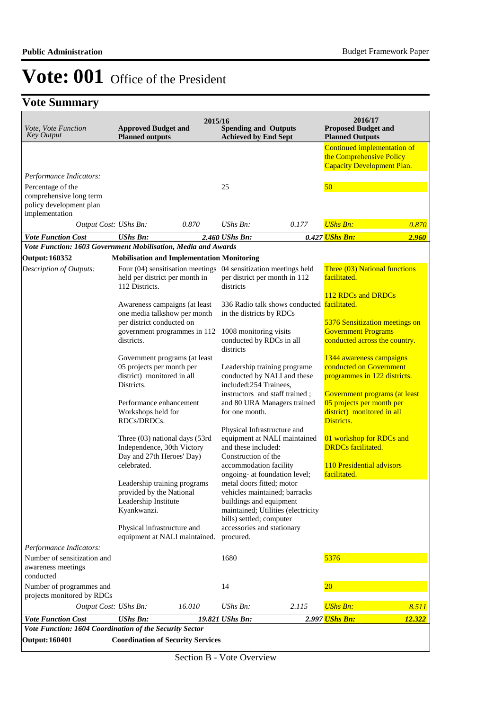| Vote, Vote Function<br><b>Key Output</b>                                                  | <b>Approved Budget and</b><br><b>Planned outputs</b>                                                                | 2015/16 | <b>Spending and Outputs</b><br><b>Achieved by End Sept</b>                                                        |                                             | 2016/17<br><b>Proposed Budget and</b><br><b>Planned Outputs</b>                                        |        |
|-------------------------------------------------------------------------------------------|---------------------------------------------------------------------------------------------------------------------|---------|-------------------------------------------------------------------------------------------------------------------|---------------------------------------------|--------------------------------------------------------------------------------------------------------|--------|
|                                                                                           |                                                                                                                     |         |                                                                                                                   |                                             | Continued implementation of<br>the Comprehensive Policy<br><b>Capacity Development Plan.</b>           |        |
| Performance Indicators:                                                                   |                                                                                                                     |         |                                                                                                                   |                                             |                                                                                                        |        |
| Percentage of the<br>comprehensive long term<br>policy development plan<br>implementation |                                                                                                                     |         | 25                                                                                                                |                                             | 50                                                                                                     |        |
| Output Cost: UShs Bn:                                                                     |                                                                                                                     | 0.870   | UShs Bn:                                                                                                          | 0.177                                       | <b>UShs Bn:</b>                                                                                        | 0.870  |
| <b>Vote Function Cost</b>                                                                 | <b>UShs Bn:</b>                                                                                                     |         | 2.460 UShs Bn:                                                                                                    |                                             | 0.427 <mark>UShs Bn:</mark>                                                                            | 2.960  |
| Vote Function: 1603 Government Mobilisation, Media and Awards                             |                                                                                                                     |         |                                                                                                                   |                                             |                                                                                                        |        |
| <b>Output: 160352</b>                                                                     | <b>Mobilisation and Implementation Monitoring</b>                                                                   |         |                                                                                                                   |                                             |                                                                                                        |        |
| Description of Outputs:                                                                   | Four (04) sensitisation meetings 04 sensitization meetings held<br>held per district per month in<br>112 Districts. |         | per district per month in 112<br>districts                                                                        |                                             | Three (03) National functions<br>facilitated.                                                          |        |
|                                                                                           | Awareness campaigns (at least                                                                                       |         |                                                                                                                   | 336 Radio talk shows conducted facilitated. | 112 RDCs and DRDCs                                                                                     |        |
|                                                                                           | one media talkshow per month<br>per district conducted on<br>government programmes in 112                           |         | in the districts by RDCs<br>1008 monitoring visits                                                                |                                             | 5376 Sensitization meetings on<br><b>Government Programs</b>                                           |        |
|                                                                                           | districts.<br>Government programs (at least                                                                         |         | conducted by RDCs in all<br>districts                                                                             |                                             | conducted across the country.<br>1344 awareness campaigns                                              |        |
|                                                                                           | 05 projects per month per                                                                                           |         | Leadership training programe                                                                                      |                                             | conducted on Government                                                                                |        |
|                                                                                           | district) monitored in all<br>Districts.                                                                            |         | conducted by NALI and these<br>included:254 Trainees,                                                             |                                             | programmes in 122 districts.                                                                           |        |
|                                                                                           | Performance enhancement<br>Workshops held for<br>RDCs/DRDCs.                                                        |         | instructors and staff trained;<br>and 80 URA Managers trained<br>for one month.                                   |                                             | Government programs (at least<br>05 projects per month per<br>district) monitored in all<br>Districts. |        |
|                                                                                           | Three (03) national days (53rd<br>Independence, 30th Victory<br>Day and 27th Heroes' Day)                           |         | Physical Infrastructure and<br>and these included:<br>Construction of the                                         | equipment at NALI maintained                | 01 workshop for RDCs and<br><b>DRDCs</b> facilitated.                                                  |        |
|                                                                                           | celebrated.                                                                                                         |         | accommodation facility<br>ongoing- at foundation level;                                                           |                                             | 110 Presidential advisors<br>facilitated.                                                              |        |
|                                                                                           | Leadership training programs<br>provided by the National<br>Leadership Institute<br>Kyankwanzi.                     |         | metal doors fitted; motor<br>vehicles maintained; barracks<br>buildings and equipment<br>bills) settled; computer | maintained; Utilities (electricity          |                                                                                                        |        |
|                                                                                           | Physical infrastructure and<br>equipment at NALI maintained.                                                        |         | accessories and stationary<br>procured.                                                                           |                                             |                                                                                                        |        |
| Performance Indicators:                                                                   |                                                                                                                     |         |                                                                                                                   |                                             |                                                                                                        |        |
| Number of sensitization and<br>awareness meetings<br>conducted                            |                                                                                                                     |         | 1680                                                                                                              |                                             | 5376                                                                                                   |        |
| Number of programmes and<br>projects monitored by RDCs                                    |                                                                                                                     |         | 14                                                                                                                |                                             | 20                                                                                                     |        |
| Output Cost: UShs Bn:                                                                     |                                                                                                                     | 16.010  | UShs Bn:                                                                                                          | 2.115                                       | <b>UShs Bn:</b>                                                                                        | 8.511  |
| <b>Vote Function Cost</b>                                                                 | <b>UShs Bn:</b>                                                                                                     |         | 19.821 UShs Bn:                                                                                                   |                                             | 2.997 UShs Bn:                                                                                         | 12.322 |
| Vote Function: 1604 Coordination of the Security Sector                                   |                                                                                                                     |         |                                                                                                                   |                                             |                                                                                                        |        |
| <b>Output: 160401</b>                                                                     | <b>Coordination of Security Services</b>                                                                            |         |                                                                                                                   |                                             |                                                                                                        |        |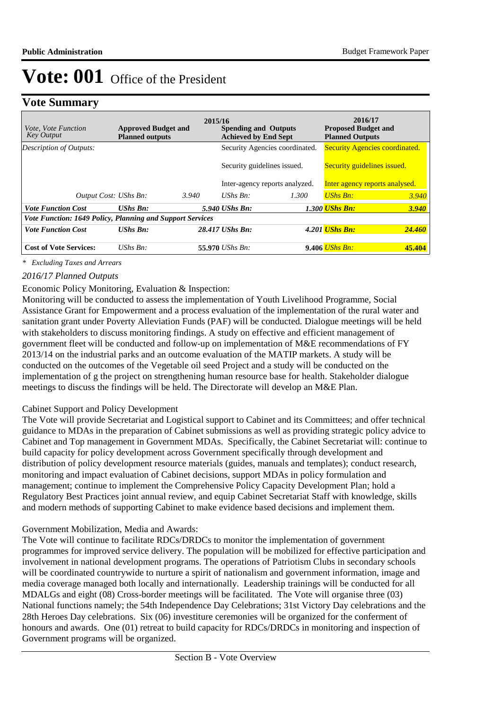## **Vote Summary**

| <i>Vote, Vote Function</i><br>Key Output                  | <b>Approved Budget and</b><br><b>Planned outputs</b> |       | 2015/16<br><b>Spending and Outputs</b><br><b>Achieved by End Sept</b> |                                | 2016/17<br><b>Proposed Budget and</b><br><b>Planned Outputs</b> |                                       |  |                             |
|-----------------------------------------------------------|------------------------------------------------------|-------|-----------------------------------------------------------------------|--------------------------------|-----------------------------------------------------------------|---------------------------------------|--|-----------------------------|
| Description of Outputs:                                   |                                                      |       |                                                                       | Security Agencies coordinated. |                                                                 | <b>Security Agencies coordinated.</b> |  |                             |
|                                                           |                                                      |       |                                                                       | Security guidelines issued.    |                                                                 |                                       |  | Security guidelines issued. |
|                                                           |                                                      |       |                                                                       | Inter-agency reports analyzed. | Inter agency reports analysed.                                  |                                       |  |                             |
| Output Cost: UShs Bn:                                     |                                                      | 3.940 | UShs $Bn$ :                                                           | 1.300                          | UShs Bn:                                                        | 3.940                                 |  |                             |
| <b>Vote Function Cost</b>                                 | <b>UShs Bn:</b>                                      |       | 5.940 UShs Bn:                                                        |                                | <b>1.300 UShs Bn:</b>                                           | <b>3.940</b>                          |  |                             |
| Vote Function: 1649 Policy, Planning and Support Services |                                                      |       |                                                                       |                                |                                                                 |                                       |  |                             |
| <b>Vote Function Cost</b>                                 | <b>UShs Bn:</b>                                      |       | 28.417 UShs Bn:                                                       |                                | 4.201 <i>UShs Bn:</i>                                           | <b>24.460</b>                         |  |                             |
| <b>Cost of Vote Services:</b>                             | UShs $Bn$ :                                          |       | 55.970 <i>UShs Bn:</i>                                                |                                | 9.406 <i>UShs Bn:</i>                                           | 45.404                                |  |                             |

*\* Excluding Taxes and Arrears*

### *2016/17 Planned Outputs*

### Economic Policy Monitoring, Evaluation & Inspection:

Monitoring will be conducted to assess the implementation of Youth Livelihood Programme, Social Assistance Grant for Empowerment and a process evaluation of the implementation of the rural water and sanitation grant under Poverty Alleviation Funds (PAF) will be conducted. Dialogue meetings will be held with stakeholders to discuss monitoring findings. A study on effective and efficient management of government fleet will be conducted and follow-up on implementation of M&E recommendations of FY 2013/14 on the industrial parks and an outcome evaluation of the MATIP markets. A study will be conducted on the outcomes of the Vegetable oil seed Project and a study will be conducted on the implementation of g the project on strengthening human resource base for health. Stakeholder dialogue meetings to discuss the findings will be held. The Directorate will develop an M&E Plan.

#### Cabinet Support and Policy Development

The Vote will provide Secretariat and Logistical support to Cabinet and its Committees; and offer technical guidance to MDAs in the preparation of Cabinet submissions as well as providing strategic policy advice to Cabinet and Top management in Government MDAs. Specifically, the Cabinet Secretariat will: continue to build capacity for policy development across Government specifically through development and distribution of policy development resource materials (guides, manuals and templates); conduct research, monitoring and impact evaluation of Cabinet decisions, support MDAs in policy formulation and management; continue to implement the Comprehensive Policy Capacity Development Plan; hold a Regulatory Best Practices joint annual review, and equip Cabinet Secretariat Staff with knowledge, skills and modern methods of supporting Cabinet to make evidence based decisions and implement them.

#### Government Mobilization, Media and Awards:

The Vote will continue to facilitate RDCs/DRDCs to monitor the implementation of government programmes for improved service delivery. The population will be mobilized for effective participation and involvement in national development programs. The operations of Patriotism Clubs in secondary schools will be coordinated countrywide to nurture a spirit of nationalism and government information, image and media coverage managed both locally and internationally. Leadership trainings will be conducted for all MDALGs and eight (08) Cross-border meetings will be facilitated. The Vote will organise three (03) National functions namely; the 54th Independence Day Celebrations; 31st Victory Day celebrations and the 28th Heroes Day celebrations. Six (06) investiture ceremonies will be organized for the conferment of honours and awards. One (01) retreat to build capacity for RDCs/DRDCs in monitoring and inspection of Government programs will be organized.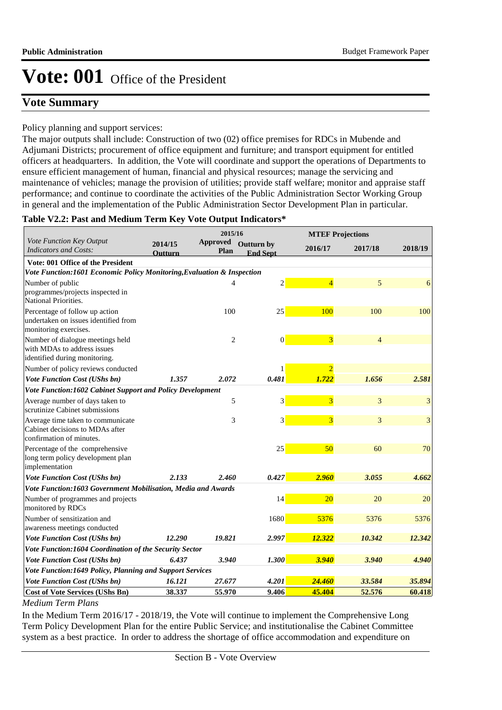## **Vote Summary**

### Policy planning and support services:

The major outputs shall include: Construction of two (02) office premises for RDCs in Mubende and Adjumani Districts; procurement of office equipment and furniture; and transport equipment for entitled officers at headquarters. In addition, the Vote will coordinate and support the operations of Departments to ensure efficient management of human, financial and physical resources; manage the servicing and maintenance of vehicles; manage the provision of utilities; provide staff welfare; monitor and appraise staff performance; and continue to coordinate the activities of the Public Administration Sector Working Group in general and the implementation of the Public Administration Sector Development Plan in particular.

### **Table V2.2: Past and Medium Term Key Vote Output Indicators\***

|                                                                                                  | 2015/16                   |                         |                               |                | <b>MTEF Projections</b> |                         |  |  |
|--------------------------------------------------------------------------------------------------|---------------------------|-------------------------|-------------------------------|----------------|-------------------------|-------------------------|--|--|
| Vote Function Key Output<br><b>Indicators and Costs:</b>                                         | 2014/15<br><b>Outturn</b> | <b>Approved</b><br>Plan | Outturn by<br><b>End Sept</b> | 2016/17        | 2017/18                 | 2018/19                 |  |  |
| <b>Vote: 001 Office of the President</b>                                                         |                           |                         |                               |                |                         |                         |  |  |
| Vote Function:1601 Economic Policy Monitoring, Evaluation & Inspection                           |                           |                         |                               |                |                         |                         |  |  |
| Number of public<br>programmes/projects inspected in                                             |                           | $\overline{4}$          | $\overline{2}$                | $\overline{4}$ | 5                       | 6                       |  |  |
| National Priorities.                                                                             |                           |                         |                               |                |                         |                         |  |  |
| Percentage of follow up action<br>undertaken on issues identified from<br>monitoring exercises.  |                           | 100                     | 25                            | 100            | 100                     | 100                     |  |  |
| Number of dialogue meetings held<br>with MDAs to address issues<br>identified during monitoring. |                           | $\overline{2}$          | $\boldsymbol{0}$              | 3              | $\overline{4}$          |                         |  |  |
| Number of policy reviews conducted                                                               |                           |                         | 1                             | $\overline{2}$ |                         |                         |  |  |
| <b>Vote Function Cost (UShs bn)</b>                                                              | 1.357                     | 2.072                   | 0.481                         | 1.722          | 1.656                   | 2.581                   |  |  |
| Vote Function:1602 Cabinet Support and Policy Development                                        |                           |                         |                               |                |                         |                         |  |  |
| Average number of days taken to<br>scrutinize Cabinet submissions                                |                           | 5                       | 3                             | 3              | 3                       | 3                       |  |  |
| Average time taken to communicate<br>Cabinet decisions to MDAs after<br>confirmation of minutes. |                           | 3                       | 3                             | 3              | 3                       | $\overline{\mathbf{3}}$ |  |  |
| Percentage of the comprehensive<br>long term policy development plan<br>implementation           |                           |                         | 25                            | 50             | 60                      | 70                      |  |  |
| Vote Function Cost (UShs bn)                                                                     | 2.133                     | 2.460                   | 0.427                         | 2.960          | 3.055                   | 4.662                   |  |  |
| Vote Function:1603 Government Mobilisation, Media and Awards                                     |                           |                         |                               |                |                         |                         |  |  |
| Number of programmes and projects<br>monitored by RDCs                                           |                           |                         | 14                            | 20             | 20                      | 20                      |  |  |
| Number of sensitization and<br>awareness meetings conducted                                      |                           |                         | 1680                          | 5376           | 5376                    | 5376                    |  |  |
| Vote Function Cost (UShs bn)                                                                     | 12.290                    | 19.821                  | 2.997                         | 12.322         | 10.342                  | 12.342                  |  |  |
| Vote Function:1604 Coordination of the Security Sector                                           |                           |                         |                               |                |                         |                         |  |  |
| Vote Function Cost (UShs bn)                                                                     | 6.437                     | 3.940                   | 1.300                         | 3.940          | 3.940                   | 4.940                   |  |  |
| Vote Function:1649 Policy, Planning and Support Services                                         |                           |                         |                               |                |                         |                         |  |  |
| Vote Function Cost (UShs bn)                                                                     | 16.121                    | 27.677                  | 4.201                         | 24.460         | 33.584                  | 35.894                  |  |  |
| <b>Cost of Vote Services (UShs Bn)</b>                                                           | 38.337                    | 55.970                  | 9.406                         | 45.404         | 52.576                  | 60.418                  |  |  |

*Medium Term Plans*

In the Medium Term 2016/17 - 2018/19, the Vote will continue to implement the Comprehensive Long Term Policy Development Plan for the entire Public Service; and institutionalise the Cabinet Committee system as a best practice. In order to address the shortage of office accommodation and expenditure on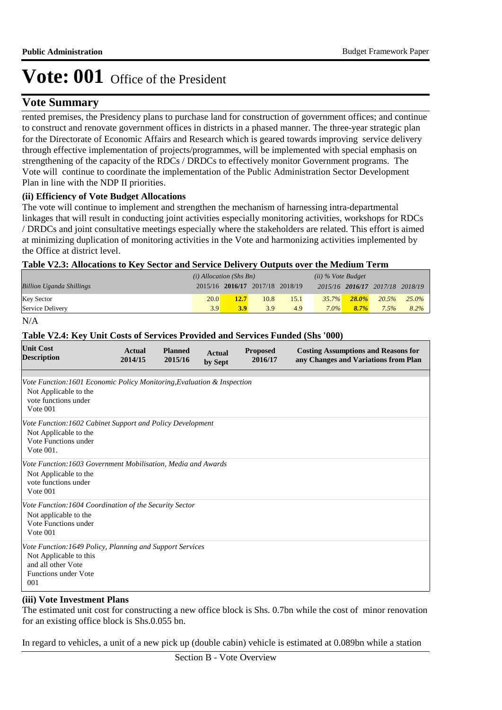## **Vote Summary**

rented premises, the Presidency plans to purchase land for construction of government offices; and continue to construct and renovate government offices in districts in a phased manner. The three-year strategic plan for the Directorate of Economic Affairs and Research which is geared towards improving service delivery through effective implementation of projects/programmes, will be implemented with special emphasis on strengthening of the capacity of the RDCs / DRDCs to effectively monitor Government programs. The Vote will continue to coordinate the implementation of the Public Administration Sector Development Plan in line with the NDP II priorities.

### **(ii) Efficiency of Vote Budget Allocations**

The vote will continue to implement and strengthen the mechanism of harnessing intra-departmental linkages that will result in conducting joint activities especially monitoring activities, workshops for RDCs / DRDCs and joint consultative meetings especially where the stakeholders are related. This effort is aimed at minimizing duplication of monitoring activities in the Vote and harmonizing activities implemented by the Office at district level.

### **Table V2.3: Allocations to Key Sector and Service Delivery Outputs over the Medium Term**

|                                 | $(i)$ Allocation (Shs Bn) |                                 |      |      | $(ii)$ % Vote Budget |          |                                 |          |
|---------------------------------|---------------------------|---------------------------------|------|------|----------------------|----------|---------------------------------|----------|
| <b>Billion Uganda Shillings</b> |                           | 2015/16 2016/17 2017/18 2018/19 |      |      |                      |          | 2015/16 2016/17 2017/18 2018/19 |          |
| <b>Key Sector</b>               | 20.0                      | 12.7                            | 10.8 | 15.1 | $35.7\%$             | $28.0\%$ | 20.5%                           | $25.0\%$ |
| Service Delivery                | 3.9                       | 3.9                             | 3.9  | 4.9  | $7.0\%$              | $8.7\%$  | 7.5%                            | 8.2%     |

N/A

### **Table V2.4: Key Unit Costs of Services Provided and Services Funded (Shs '000)**

| <b>Unit Cost</b><br><b>Description</b>                                                                                                          | <b>Actual</b><br>2014/15 | <b>Planned</b><br>2015/16 | <b>Actual</b><br>by Sept | <b>Proposed</b><br>2016/17 | <b>Costing Assumptions and Reasons for</b><br>any Changes and Variations from Plan |
|-------------------------------------------------------------------------------------------------------------------------------------------------|--------------------------|---------------------------|--------------------------|----------------------------|------------------------------------------------------------------------------------|
| Vote Function: 1601 Economic Policy Monitoring, Evaluation & Inspection<br>Not Applicable to the<br>vote functions under<br>Vote $001$          |                          |                           |                          |                            |                                                                                    |
| Vote Function: 1602 Cabinet Support and Policy Development<br>Not Applicable to the<br>Vote Functions under<br>Vote $001$ .                     |                          |                           |                          |                            |                                                                                    |
| Vote Function:1603 Government Mobilisation, Media and Awards<br>Not Applicable to the<br>vote functions under<br>Vote 001                       |                          |                           |                          |                            |                                                                                    |
| Vote Function: 1604 Coordination of the Security Sector<br>Not applicable to the<br>Vote Functions under<br>Vote 001                            |                          |                           |                          |                            |                                                                                    |
| Vote Function: 1649 Policy, Planning and Support Services<br>Not Applicable to this<br>and all other Vote<br><b>Functions under Vote</b><br>001 |                          |                           |                          |                            |                                                                                    |

#### **(iii) Vote Investment Plans**

The estimated unit cost for constructing a new office block is Shs. 0.7bn while the cost of minor renovation for an existing office block is Shs.0.055 bn.

In regard to vehicles, a unit of a new pick up (double cabin) vehicle is estimated at 0.089bn while a station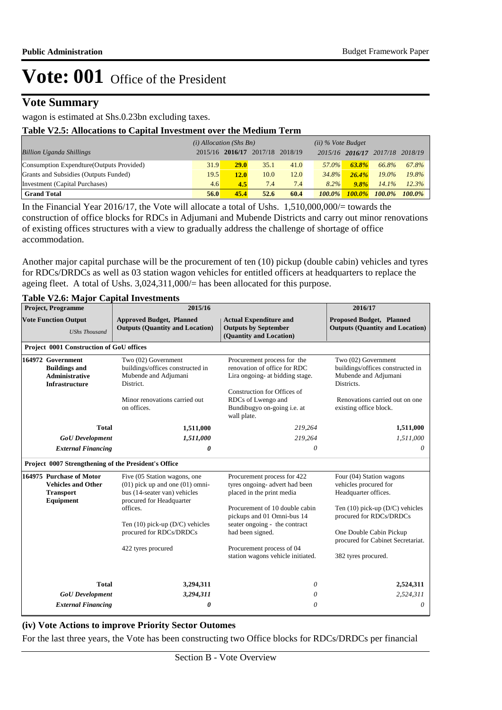## **Vote Summary**

### wagon is estimated at Shs.0.23bn excluding taxes.

#### **Table V2.5: Allocations to Capital Investment over the Medium Term**

|                                           | $(i)$ Allocation (Shs Bn) |      |                                 |      | $(ii)$ % Vote Budget |                 |           |           |
|-------------------------------------------|---------------------------|------|---------------------------------|------|----------------------|-----------------|-----------|-----------|
| <b>Billion Uganda Shillings</b>           |                           |      | 2015/16 2016/17 2017/18 2018/19 |      |                      | 2015/16 2016/17 | 2017/18   | 2018/19   |
| Consumption Expendture (Outputs Provided) | 31.9                      | 29.0 | 35.1                            | 41.0 | 57.0%                | $63.8\%$        | 66.8%     | 67.8%     |
| Grants and Subsidies (Outputs Funded)     | 19.5                      | 12.0 | 10.0                            | 12.0 | 34.8%                | $26.4\%$        | $19.0\%$  | 19.8%     |
| Investment (Capital Purchases)            | 4.6                       | 4.5  | 7.4                             | 7.4  | $8.2\%$              | 9.8%            | 14.1%     | 12.3%     |
| <b>Grand Total</b>                        | 56.0                      | 45.4 | 52.6                            | 60.4 | $100.0\%$            | $100.0\%$       | $100.0\%$ | $100.0\%$ |

In the Financial Year 2016/17, the Vote will allocate a total of Ushs. 1,510,000,000/= towards the construction of office blocks for RDCs in Adjumani and Mubende Districts and carry out minor renovations of existing offices structures with a view to gradually address the challenge of shortage of office accommodation.

Another major capital purchase will be the procurement of ten (10) pickup (double cabin) vehicles and tyres for RDCs/DRDCs as well as 03 station wagon vehicles for entitled officers at headquarters to replace the ageing fleet. A total of Ushs. 3,024,311,000/= has been allocated for this purpose.

| <b>Project, Programme</b>                                                                   | 2015/16                                                                                                                         | 2016/17                                                                                         |                                                                                               |  |
|---------------------------------------------------------------------------------------------|---------------------------------------------------------------------------------------------------------------------------------|-------------------------------------------------------------------------------------------------|-----------------------------------------------------------------------------------------------|--|
| <b>Vote Function Output</b><br><b>UShs Thousand</b>                                         | <b>Approved Budget, Planned</b><br><b>Outputs (Quantity and Location)</b>                                                       | <b>Actual Expenditure and</b><br><b>Outputs by September</b><br>(Quantity and Location)         | <b>Proposed Budget, Planned</b><br><b>Outputs (Quantity and Location)</b>                     |  |
| Project 0001 Construction of GoU offices                                                    |                                                                                                                                 |                                                                                                 |                                                                                               |  |
| 164972 Government<br><b>Buildings and</b><br><b>Administrative</b><br><b>Infrastructure</b> | Two (02) Government<br>buildings/offices constructed in<br>Mubende and Adjumani<br>District.                                    | Procurement process for the<br>renovation of office for RDC<br>Lira ongoing- at bidding stage.  | Two (02) Government<br>buildings/offices constructed in<br>Mubende and Adjumani<br>Districts. |  |
|                                                                                             | Minor renovations carried out<br>on offices.                                                                                    | Construction for Offices of<br>RDCs of Lwengo and<br>Bundibugyo on-going i.e. at<br>wall plate. | Renovations carried out on one<br>existing office block.                                      |  |
| <b>Total</b>                                                                                | 1,511,000                                                                                                                       | 219,264                                                                                         | 1,511,000                                                                                     |  |
| <b>GoU</b> Development                                                                      | 1,511,000                                                                                                                       | 219,264                                                                                         | 1,511,000                                                                                     |  |
| <b>External Financing</b>                                                                   | 0                                                                                                                               | $\theta$                                                                                        | $\theta$                                                                                      |  |
| Project 0007 Strengthening of the President's Office                                        |                                                                                                                                 |                                                                                                 |                                                                                               |  |
| 164975 Purchase of Motor<br><b>Vehicles and Other</b><br><b>Transport</b><br>Equipment      | Five (05 Station wagons, one<br>$(01)$ pick up and one $(01)$ omni-<br>bus (14-seater van) vehicles<br>procured for Headquarter | Procurement process for 422<br>tyres ongoing- advert had been<br>placed in the print media      | Four (04) Station wagons<br>vehicles procured for<br>Headquarter offices.                     |  |
|                                                                                             | offices.                                                                                                                        | Procurement of 10 double cabin<br>pickups and 01 Omni-bus 14                                    | Ten $(10)$ pick-up $(D/C)$ vehicles<br>procured for RDCs/DRDCs                                |  |
|                                                                                             | Ten $(10)$ pick-up $(D/C)$ vehicles<br>procured for RDCs/DRDCs                                                                  | seater ongoing - the contract<br>had been signed.                                               | One Double Cabin Pickup<br>procured for Cabinet Secretariat.                                  |  |
|                                                                                             | 422 tyres procured                                                                                                              | Procurement process of 04<br>station wagons vehicle initiated.                                  | 382 tyres procured.                                                                           |  |
| <b>Total</b>                                                                                | 3,294,311                                                                                                                       | 0                                                                                               | 2,524,311                                                                                     |  |
| <b>GoU</b> Development                                                                      | 3,294,311                                                                                                                       | 0                                                                                               | 2,524,311                                                                                     |  |
| <b>External Financing</b>                                                                   | 0                                                                                                                               | 0                                                                                               | $\theta$                                                                                      |  |

### **Table V2.6: Major Capital Investments**

#### **(iv) Vote Actions to improve Priority Sector Outomes**

For the last three years, the Vote has been constructing two Office blocks for RDCs/DRDCs per financial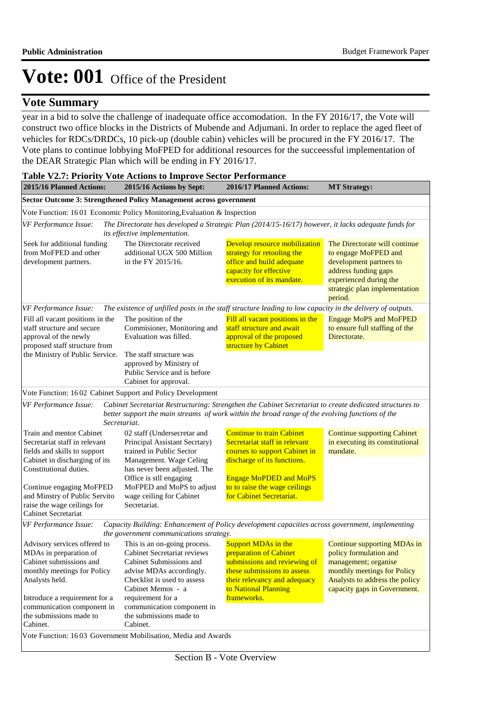## **Vote Summary**

year in a bid to solve the challenge of inadequate office accomodation. In the FY 2016/17, the Vote will construct two office blocks in the Districts of Mubende and Adjumani. In order to replace the aged fleet of vehicles for RDCs/DRDCs, 10 pick-up (double cabin) vehicles will be procured in the FY 2016/17. The Vote plans to continue lobbying MoFPED for additional resources for the succeessful implementation of the DEAR Strategic Plan which will be ending in FY 2016/17.

| <b>Table V2.7: Priority Vote Actions to Improve Sector Performance</b>                                                                                                                                                                                                  |                                                                                                                                                                                                                                                         |                                                                                                                                                                                                                                 |                                                                                                                                                                                |  |
|-------------------------------------------------------------------------------------------------------------------------------------------------------------------------------------------------------------------------------------------------------------------------|---------------------------------------------------------------------------------------------------------------------------------------------------------------------------------------------------------------------------------------------------------|---------------------------------------------------------------------------------------------------------------------------------------------------------------------------------------------------------------------------------|--------------------------------------------------------------------------------------------------------------------------------------------------------------------------------|--|
| 2015/16 Planned Actions:                                                                                                                                                                                                                                                | 2015/16 Actions by Sept:                                                                                                                                                                                                                                | 2016/17 Planned Actions:                                                                                                                                                                                                        | <b>MT Strategy:</b>                                                                                                                                                            |  |
|                                                                                                                                                                                                                                                                         | Sector Outcome 3: Strengthened Policy Management across government                                                                                                                                                                                      |                                                                                                                                                                                                                                 |                                                                                                                                                                                |  |
|                                                                                                                                                                                                                                                                         | Vote Function: 1601 Economic Policy Monitoring, Evaluation & Inspection                                                                                                                                                                                 |                                                                                                                                                                                                                                 |                                                                                                                                                                                |  |
| VF Performance Issue:                                                                                                                                                                                                                                                   | The Directorate has developed a Strategic Plan (2014/15-16/17) however, it lacks adequate funds for<br>its effective implementation.                                                                                                                    |                                                                                                                                                                                                                                 |                                                                                                                                                                                |  |
| Seek for additional funding<br>from MoFPED and other<br>development partners.                                                                                                                                                                                           | The Directorate received<br>additional UGX 500 Million<br>in the FY 2015/16.                                                                                                                                                                            | Develop resource mobilization<br>strategy for retooling the<br>office and build adequate<br>capacity for effective<br>execution of its mandate.                                                                                 | The Directorate will continue<br>to engage MoFPED and<br>development partners to<br>address funding gaps<br>experienced during the<br>strategic plan implementation<br>period. |  |
| VF Performance Issue:                                                                                                                                                                                                                                                   | The existence of unfilled posts in the staff structure leading to low capacity in the delivery of outputs.                                                                                                                                              |                                                                                                                                                                                                                                 |                                                                                                                                                                                |  |
| Fill all vacant positions in the<br>staff structure and secure<br>approval of the newly<br>proposed staff structure from                                                                                                                                                | The position of the<br>Commisioner, Monitoring and<br>Evaluation was filled.                                                                                                                                                                            | Fill all vacant positions in the<br>staff structure and await<br>approval of the proposed<br>structure by Cabinet                                                                                                               | <b>Engage MoPS and MoFPED</b><br>to ensure full staffing of the<br>Directorate.                                                                                                |  |
| the Ministry of Public Service.                                                                                                                                                                                                                                         | The staff structure was<br>approved by Ministry of<br>Public Service and is before<br>Cabinet for approval.                                                                                                                                             |                                                                                                                                                                                                                                 |                                                                                                                                                                                |  |
|                                                                                                                                                                                                                                                                         | Vote Function: 1602 Cabinet Support and Policy Development                                                                                                                                                                                              |                                                                                                                                                                                                                                 |                                                                                                                                                                                |  |
| VF Performance Issue:                                                                                                                                                                                                                                                   | Cabinet Secretariat Restructuring: Strengthen the Cabinet Secretariat to create dedicated structures to<br>better support the main streams of work within the broad range of the evolving functions of the<br>Secretariat.                              |                                                                                                                                                                                                                                 |                                                                                                                                                                                |  |
| Train and mentor Cabinet<br>Secretariat staff in relevant<br>fields and skills to support<br>Cabinet in discharging of its<br>Constitutional duties.<br>Continue engaging MoFPED<br>and Minstry of Public Servito<br>raise the wage ceilings for<br>Cabinet Secretariat | 02 staff (Undersecretar and<br>Principal Assistant Secrtary)<br>trained in Public Sector<br>Management. Wage Celing<br>has never been adjusted. The<br>Office is stll engaging<br>MoFPED and MoPS to adjust<br>wage ceiling for Cabinet<br>Secretariat. | <b>Continue to train Cabinet</b><br>Secretariat staff in relevant<br>courses to support Cabinet in<br>discharge of its functions.<br><b>Engage MoPDED and MoPS</b><br>to to raise the wage ceilings<br>for Cabinet Secretariat. | <b>Continue supporting Cabinet</b><br>in executing its constitutional<br>mandate.                                                                                              |  |
| VF Performance Issue:                                                                                                                                                                                                                                                   | Capacity Building: Enhancement of Policy development capacities across government, implementing<br>the government communications strategy.                                                                                                              |                                                                                                                                                                                                                                 |                                                                                                                                                                                |  |
| Advisory services offered to<br>MDAs in preparation of<br>Cabinet submissions and<br>monthly meetings for Policy<br>Analysts held.<br>Introduce a requirement for a<br>communication component in                                                                       | This is an on-going process.<br>Cabinet Secretariat reviews<br>Cabinet Submissions and<br>advise MDAs accordingly.<br>Checklist is used to assess<br>Cabinet Memos - a<br>requirement for a<br>communication component in                               | Support MDAs in the<br>preparation of Cabinet<br>submissions and reviewing of<br>these submissions to assess<br>their relevancy and adequacy<br>to National Planning<br>frameworks.                                             | Continue supporting MDAs in<br>policy formulation and<br>management; organise<br>monthly meetings for Policy<br>Analysts to address the policy<br>capacity gaps in Government. |  |
| the submissions made to<br>Cabinet.                                                                                                                                                                                                                                     | the submissions made to<br>Cabinet.<br>Vote Function: 1603 Government Mobilisation, Media and Awards                                                                                                                                                    |                                                                                                                                                                                                                                 |                                                                                                                                                                                |  |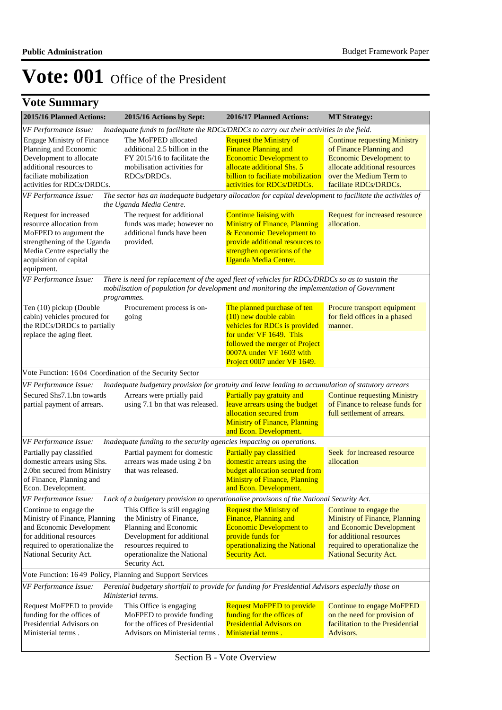| 2015/16 Planned Actions:                                                                                                                                                          | 2015/16 Actions by Sept:                                                                                                                                                                                     | 2016/17 Planned Actions:                                                                                                                                                                         | <b>MT Strategy:</b>                                                                                                                                                                   |  |  |
|-----------------------------------------------------------------------------------------------------------------------------------------------------------------------------------|--------------------------------------------------------------------------------------------------------------------------------------------------------------------------------------------------------------|--------------------------------------------------------------------------------------------------------------------------------------------------------------------------------------------------|---------------------------------------------------------------------------------------------------------------------------------------------------------------------------------------|--|--|
| VF Performance Issue:<br>Inadequate funds to facilitate the RDCs/DRDCs to carry out their activities in the field.                                                                |                                                                                                                                                                                                              |                                                                                                                                                                                                  |                                                                                                                                                                                       |  |  |
| <b>Engage Ministry of Finance</b><br>Planning and Economic<br>Development to allocate<br>additional resources to<br>faciliate mobilization<br>activities for RDCs/DRDCs.          | The MoFPED allocated<br>additional 2.5 billion in the<br>FY 2015/16 to facilitate the<br>mobilisation activities for<br>RDCs/DRDCs.                                                                          | <b>Request the Ministry of</b><br><b>Finance Planning and</b><br><b>Economic Development to</b><br>allocate additional Shs. 5<br>billion to faciliate mobilization<br>activities for RDCs/DRDCs. | <b>Continue requesting Ministry</b><br>of Finance Planning and<br><b>Economic Development to</b><br>allocate additional resources<br>over the Medium Term to<br>faciliate RDCs/DRDCs. |  |  |
| VF Performance Issue:                                                                                                                                                             | The sector has an inadequate budgetary allocation for capital development to facilitate the activities of                                                                                                    |                                                                                                                                                                                                  |                                                                                                                                                                                       |  |  |
|                                                                                                                                                                                   | the Uganda Media Centre.                                                                                                                                                                                     |                                                                                                                                                                                                  |                                                                                                                                                                                       |  |  |
| Request for increased<br>resource allocation from<br>MoFPED to augument the<br>strengthening of the Uganda<br>Media Centre especially the<br>acquisition of capital<br>equipment. | The request for additional<br>funds was made; however no<br>additional funds have been<br>provided.                                                                                                          | <b>Continue liaising with</b><br><b>Ministry of Finance, Planning</b><br>& Economic Development to<br>provide additional resources to<br>strengthen operations of the<br>Uganda Media Center.    | Request for increased resource<br>allocation.                                                                                                                                         |  |  |
| VF Performance Issue:                                                                                                                                                             | There is need for replacement of the aged fleet of vehicles for RDCs/DRDCs so as to sustain the<br>mobilisation of population for development and monitoring the implementation of Government<br>programmes. |                                                                                                                                                                                                  |                                                                                                                                                                                       |  |  |
| Ten (10) pickup (Double<br>cabin) vehicles procured for<br>the RDCs/DRDCs to partially<br>replace the aging fleet.                                                                | Procurement process is on-<br>going                                                                                                                                                                          | The planned purchase of ten<br>$(10)$ new double cabin<br>vehicles for RDCs is provided<br>for under VF 1649. This<br>followed the merger of Project<br>0007A under VF 1603 with                 | Procure transport equipment<br>for field offices in a phased<br>manner.                                                                                                               |  |  |
|                                                                                                                                                                                   |                                                                                                                                                                                                              | Project 0007 under VF 1649.                                                                                                                                                                      |                                                                                                                                                                                       |  |  |
| Vote Function: 1604 Coordination of the Security Sector                                                                                                                           |                                                                                                                                                                                                              |                                                                                                                                                                                                  |                                                                                                                                                                                       |  |  |
| VF Performance Issue:<br>Secured Shs7.1.bn towards                                                                                                                                | Inadequate budgetary provision for gratuity and leave leading to accumulation of statutory arrears<br>Arrears were prtially paid                                                                             | Partially pay gratuity and                                                                                                                                                                       |                                                                                                                                                                                       |  |  |
| partial payment of arrears.                                                                                                                                                       | using 7.1 bn that was released.                                                                                                                                                                              | leave arrears using the budget<br>allocation secured from<br><b>Ministry of Finance, Planning</b>                                                                                                | <b>Continue requesting Ministry</b><br>of Finance to release funds for<br>full settlement of arrears.                                                                                 |  |  |
|                                                                                                                                                                                   |                                                                                                                                                                                                              | and Econ. Development.                                                                                                                                                                           |                                                                                                                                                                                       |  |  |
| VF Performance Issue:<br>Partially pay classified                                                                                                                                 | Inadequate funding to the security agencies impacting on operations.<br>Partial payment for domestic                                                                                                         | Partially pay classified                                                                                                                                                                         | Seek for increased resource                                                                                                                                                           |  |  |
| domestic arrears using Shs.<br>2.0bn secured from Ministry                                                                                                                        | arrears was made using 2 bn<br>that was released.                                                                                                                                                            | domestic arrears using the<br><b>budget allocation secured from</b>                                                                                                                              | allocation                                                                                                                                                                            |  |  |
| of Finance, Planning and<br>Econ. Development.                                                                                                                                    |                                                                                                                                                                                                              | <b>Ministry of Finance, Planning</b><br>and Econ. Development.                                                                                                                                   |                                                                                                                                                                                       |  |  |
| VF Performance Issue:<br>Lack of a budgetary provision to operationalise provisons of the National Security Act.                                                                  |                                                                                                                                                                                                              |                                                                                                                                                                                                  |                                                                                                                                                                                       |  |  |
| Continue to engage the<br>Ministry of Finance, Planning<br>and Economic Development<br>for additional resources<br>required to operationalize the<br>National Security Act.       | This Office is still engaging<br>the Ministry of Finance,<br>Planning and Economic<br>Development for additional<br>resources required to<br>operationalize the National<br>Security Act.                    | <b>Request the Ministry of</b><br>Finance, Planning and<br><b>Economic Development to</b><br>provide funds for<br>operationalizing the National<br><b>Security Act.</b>                          | Continue to engage the<br>Ministry of Finance, Planning<br>and Economic Development<br>for additional resources<br>required to operationalize the<br><b>National Security Act.</b>    |  |  |
| Vote Function: 1649 Policy, Planning and Support Services                                                                                                                         |                                                                                                                                                                                                              |                                                                                                                                                                                                  |                                                                                                                                                                                       |  |  |
| Perenial budgetary shortfall to provide for funding for Presidential Advisors especially those on<br>VF Performance Issue:<br>Ministerial terms.                                  |                                                                                                                                                                                                              |                                                                                                                                                                                                  |                                                                                                                                                                                       |  |  |
| Request MoFPED to provide<br>funding for the offices of<br>Presidential Advisors on<br>Ministerial terms.                                                                         | This Office is engaging<br>MoFPED to provide funding<br>for the offices of Presidential<br>Advisors on Ministerial terms.                                                                                    | <b>Request MoFPED to provide</b><br>funding for the offices of<br><b>Presidential Advisors on</b><br>Ministerial terms.                                                                          | Continue to engage MoFPED<br>on the need for provision of<br>facilitation to the Presidential<br>Advisors.                                                                            |  |  |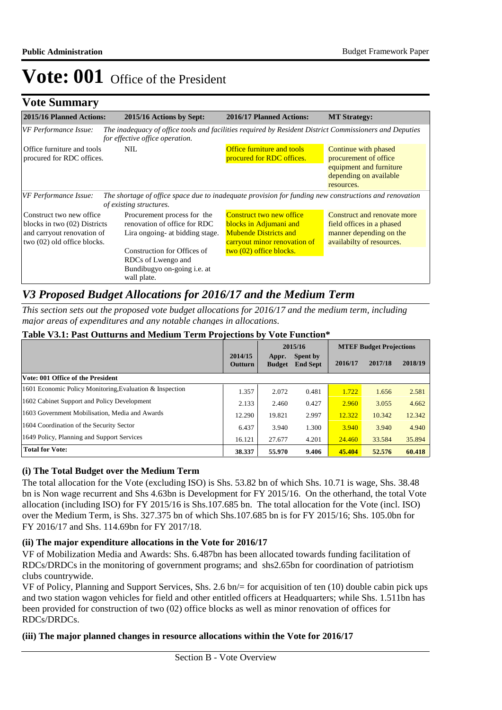## **Vote Summary**

| 2015/16 Planned Actions:                                                                                               | 2015/16 Actions by Sept:                                                                                                                                                                  | 2016/17 Planned Actions:                                                                                                                      | <b>MT Strategy:</b>                                                                                              |
|------------------------------------------------------------------------------------------------------------------------|-------------------------------------------------------------------------------------------------------------------------------------------------------------------------------------------|-----------------------------------------------------------------------------------------------------------------------------------------------|------------------------------------------------------------------------------------------------------------------|
| VF Performance Issue:                                                                                                  | The inadequacy of office tools and facilities required by Resident District Commissioners and Deputies<br>for effective office operation.                                                 |                                                                                                                                               |                                                                                                                  |
| Office furniture and tools<br>procured for RDC offices.                                                                | <b>NIL</b>                                                                                                                                                                                | Office furniture and tools<br>procured for RDC offices.                                                                                       | Continue with phased<br>procurement of office<br>equipment and furniture<br>depending on available<br>resources. |
| VF Performance Issue:                                                                                                  | The shortage of office space due to inadequate provision for funding new constructions and renovation<br>of existing structures.                                                          |                                                                                                                                               |                                                                                                                  |
| Construct two new office.<br>blocks in two (02) Districts<br>and carryout renovation of<br>two (02) old office blocks. | Procurement process for the<br>renovation of office for RDC<br>Lira ongoing- at bidding stage.<br>Construction for Offices of<br>RDCs of Lwengo and<br>Bundibugyo on-going <i>i.e.</i> at | Construct two new office<br>blocks in Adjumani and<br><b>Mubende Districts and</b><br>carryout minor renovation of<br>two (02) office blocks. | Construct and renovate more<br>field offices in a phased<br>manner depending on the<br>availabilty of resources. |
|                                                                                                                        | wall plate.                                                                                                                                                                               |                                                                                                                                               |                                                                                                                  |

## *V3 Proposed Budget Allocations for 2016/17 and the Medium Term*

*This section sets out the proposed vote budget allocations for 2016/17 and the medium term, including major areas of expenditures and any notable changes in allocations.* 

|                                                          | 2015/16            |                        | <b>MTEF Budget Projections</b> |         |         |         |
|----------------------------------------------------------|--------------------|------------------------|--------------------------------|---------|---------|---------|
|                                                          | 2014/15<br>Outturn | Appr.<br><b>Budget</b> | Spent by<br><b>End Sept</b>    | 2016/17 | 2017/18 | 2018/19 |
| Vote: 001 Office of the President                        |                    |                        |                                |         |         |         |
| 1601 Economic Policy Monitoring, Evaluation & Inspection | 1.357              | 2.072                  | 0.481                          | 1.722   | 1.656   | 2.581   |
| 1602 Cabinet Support and Policy Development              | 2.133              | 2.460                  | 0.427                          | 2.960   | 3.055   | 4.662   |
| 1603 Government Mobilisation, Media and Awards           | 12.290             | 19.821                 | 2.997                          | 12.322  | 10.342  | 12.342  |
| 1604 Coordination of the Security Sector                 | 6.437              | 3.940                  | 1.300                          | 3.940   | 3.940   | 4.940   |
| 1649 Policy, Planning and Support Services               | 16.121             | 27.677                 | 4.201                          | 24.460  | 33.584  | 35.894  |
| <b>Total for Vote:</b>                                   | 38.337             | 55.970                 | 9.406                          | 45.404  | 52.576  | 60.418  |

#### **Table V3.1: Past Outturns and Medium Term Projections by Vote Function\***

### **(i) The Total Budget over the Medium Term**

The total allocation for the Vote (excluding ISO) is Shs. 53.82 bn of which Shs. 10.71 is wage, Shs. 38.48 bn is Non wage recurrent and Shs 4.63bn is Development for FY 2015/16. On the otherhand, the total Vote allocation (including ISO) for FY 2015/16 is Shs.107.685 bn. The total allocation for the Vote (incl. ISO) over the Medium Term, is Shs. 327.375 bn of which Shs.107.685 bn is for FY 2015/16; Shs. 105.0bn for FY 2016/17 and Shs. 114.69bn for FY 2017/18.

#### **(ii) The major expenditure allocations in the Vote for 2016/17**

VF of Mobilization Media and Awards: Shs. 6.487bn has been allocated towards funding facilitation of RDCs/DRDCs in the monitoring of government programs; and shs2.65bn for coordination of patriotism clubs countrywide.

VF of Policy, Planning and Support Services, Shs. 2.6 bn/= for acquisition of ten (10) double cabin pick ups and two station wagon vehicles for field and other entitled officers at Headquarters; while Shs. 1.511bn has been provided for construction of two (02) office blocks as well as minor renovation of offices for RDCs/DRDCs.

### **(iii) The major planned changes in resource allocations within the Vote for 2016/17**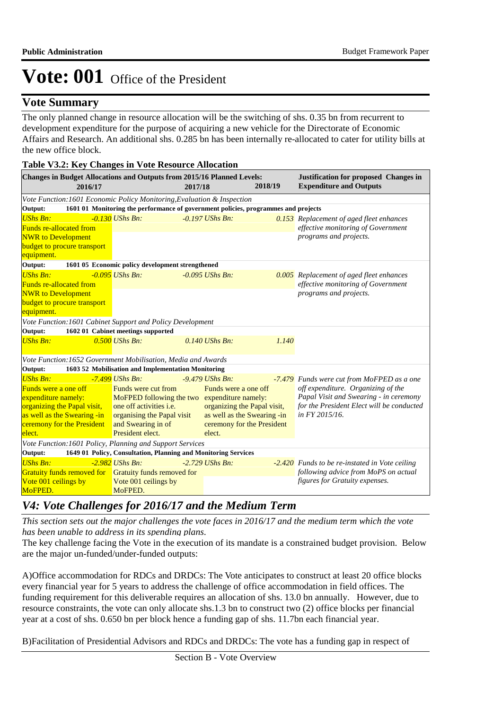## **Vote Summary**

The only planned change in resource allocation will be the switching of shs. 0.35 bn from recurrent to development expenditure for the purpose of acquiring a new vehicle for the Directorate of Economic Affairs and Research. An additional shs. 0.285 bn has been internally re-allocated to cater for utility bills at the new office block.

| Table <i>v5.2.</i> Ivey Changes in voie resource Anocation                                                                                                                  |                                                                                                                                                                                                  |         |                                                                                                                                                 |         |                                                                                                                                                                                           |
|-----------------------------------------------------------------------------------------------------------------------------------------------------------------------------|--------------------------------------------------------------------------------------------------------------------------------------------------------------------------------------------------|---------|-------------------------------------------------------------------------------------------------------------------------------------------------|---------|-------------------------------------------------------------------------------------------------------------------------------------------------------------------------------------------|
| Changes in Budget Allocations and Outputs from 2015/16 Planned Levels:<br>2016/17                                                                                           |                                                                                                                                                                                                  | 2017/18 |                                                                                                                                                 | 2018/19 | <b>Justification for proposed Changes in</b><br><b>Expenditure and Outputs</b>                                                                                                            |
| Vote Function: 1601 Economic Policy Monitoring, Evaluation & Inspection                                                                                                     |                                                                                                                                                                                                  |         |                                                                                                                                                 |         |                                                                                                                                                                                           |
| Output:                                                                                                                                                                     | 1601 01 Monitoring the performance of government policies, programmes and projects                                                                                                               |         |                                                                                                                                                 |         |                                                                                                                                                                                           |
| <b>UShs Bn:</b><br><b>Funds re-allocated from</b><br><b>NWR</b> to Development<br><b>budget to procure transport</b><br>equipment.                                          | $-0.130$ UShs Bn:                                                                                                                                                                                |         | $-0.197$ UShs Bn:                                                                                                                               |         | 0.153 Replacement of aged fleet enhances<br>effective monitoring of Government<br>programs and projects.                                                                                  |
| Output:                                                                                                                                                                     | 1601 05 Economic policy development strengthened                                                                                                                                                 |         |                                                                                                                                                 |         |                                                                                                                                                                                           |
| <b>UShs Bn:</b><br><b>Funds re-allocated from</b><br><b>NWR</b> to Development<br>budget to procure transport<br>equipment.                                                 | $-0.095$ UShs Bn:                                                                                                                                                                                |         | $-0.095$ UShs Bn:                                                                                                                               |         | 0.005 Replacement of aged fleet enhances<br>effective monitoring of Government<br>programs and projects.                                                                                  |
| Vote Function: 1601 Cabinet Support and Policy Development                                                                                                                  |                                                                                                                                                                                                  |         |                                                                                                                                                 |         |                                                                                                                                                                                           |
| Output:                                                                                                                                                                     | 1602 01 Cabinet meetings supported                                                                                                                                                               |         |                                                                                                                                                 |         |                                                                                                                                                                                           |
| <b>UShs Bn:</b>                                                                                                                                                             | $0.500$ UShs Bn:                                                                                                                                                                                 |         | $0.140$ UShs Bn:                                                                                                                                | 1.140   |                                                                                                                                                                                           |
| Vote Function: 1652 Government Mobilisation, Media and Awards                                                                                                               |                                                                                                                                                                                                  |         |                                                                                                                                                 |         |                                                                                                                                                                                           |
| Output:                                                                                                                                                                     | 1603 52 Mobilisation and Implementation Monitoring                                                                                                                                               |         |                                                                                                                                                 |         |                                                                                                                                                                                           |
| <b>UShs Bn:</b><br><b>Funds were a one off</b><br>expenditure namely:<br>organizing the Papal visit,<br>as well as the Swearing -in<br>ceremony for the President<br>elect. | -7.499 UShs Bn:<br>Funds were cut from<br>MoFPED following the two expenditure namely:<br>one off activities <i>i.e.</i><br>organising the Papal visit<br>and Swearing in of<br>President elect. |         | $-9.479$ UShs Bn:<br>Funds were a one off<br>organizing the Papal visit,<br>as well as the Swearing -in<br>ceremony for the President<br>elect. |         | -7.479 Funds were cut from MoFPED as a one<br>off expenditure. Organizing of the<br>Papal Visit and Swearing - in ceremony<br>for the President Elect will be conducted<br>in FY 2015/16. |
| Vote Function: 1601 Policy, Planning and Support Services                                                                                                                   |                                                                                                                                                                                                  |         |                                                                                                                                                 |         |                                                                                                                                                                                           |
| Output:                                                                                                                                                                     | 1649 01 Policy, Consultation, Planning and Monitoring Services                                                                                                                                   |         |                                                                                                                                                 |         |                                                                                                                                                                                           |
| <b>UShs Bn:</b><br>Gratuity funds removed for Gratuity funds removed for<br>Vote 001 ceilings by<br>MoFPED.                                                                 | $-2.982$ UShs Bn:<br>Vote 001 ceilings by<br>MoFPED.                                                                                                                                             |         | $-2.729$ UShs Bn:                                                                                                                               |         | -2.420 Funds to be re-instated in Vote ceiling<br>following advice from MoPS on actual<br>figures for Gratuity expenses.                                                                  |

#### **Table V3.2: Key Changes in Vote Resource Allocation**

## *V4: Vote Challenges for 2016/17 and the Medium Term*

*This section sets out the major challenges the vote faces in 2016/17 and the medium term which the vote has been unable to address in its spending plans.*

The key challenge facing the Vote in the execution of its mandate is a constrained budget provision. Below are the major un-funded/under-funded outputs:

A) Office accommodation for RDCs and DRDCs: The Vote anticipates to construct at least 20 office blocks every financial year for 5 years to address the challenge of office accommodation in field offices. The funding requirement for this deliverable requires an allocation of shs. 13.0 bn annually. However, due to resource constraints, the vote can only allocate shs.1.3 bn to construct two (2) office blocks per financial year at a cost of shs. 0.650 bn per block hence a funding gap of shs. 11.7bn each financial year.

B) Facilitation of Presidential Advisors and RDCs and DRDCs: The vote has a funding gap in respect of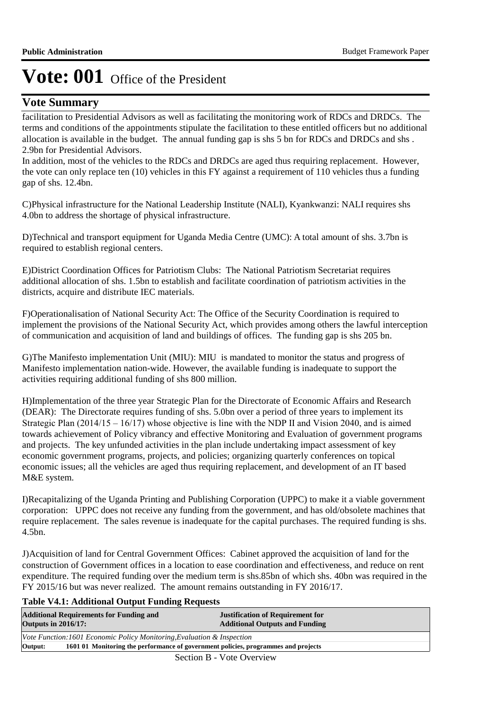## **Vote Summary**

facilitation to Presidential Advisors as well as facilitating the monitoring work of RDCs and DRDCs. The terms and conditions of the appointments stipulate the facilitation to these entitled officers but no additional allocation is available in the budget. The annual funding gap is shs 5 bn for RDCs and DRDCs and shs . 2.9bn for Presidential Advisors.

In addition, most of the vehicles to the RDCs and DRDCs are aged thus requiring replacement. However, the vote can only replace ten (10) vehicles in this FY against a requirement of 110 vehicles thus a funding gap of shs. 12.4bn.

C)Physical infrastructure for the National Leadership Institute (NALI), Kyankwanzi: NALI requires shs 4.0bn to address the shortage of physical infrastructure.

D) Technical and transport equipment for Uganda Media Centre (UMC): A total amount of shs. 3.7bn is required to establish regional centers.

E) District Coordination Offices for Patriotism Clubs: The National Patriotism Secretariat requires additional allocation of shs. 1.5bn to establish and facilitate coordination of patriotism activities in the districts, acquire and distribute IEC materials.

F) Operationalisation of National Security Act: The Office of the Security Coordination is required to implement the provisions of the National Security Act, which provides among others the lawful interception of communication and acquisition of land and buildings of offices. The funding gap is shs 205 bn.

G) The Manifesto implementation Unit (MIU): MIU is mandated to monitor the status and progress of Manifesto implementation nation-wide. However, the available funding is inadequate to support the activities requiring additional funding of shs 800 million.

H)Implementation of the three year Strategic Plan for the Directorate of Economic Affairs and Research (DEAR): The Directorate requires funding of shs. 5.0bn over a period of three years to implement its Strategic Plan (2014/15 – 16/17) whose objective is line with the NDP II and Vision 2040, and is aimed towards achievement of Policy vibrancy and effective Monitoring and Evaluation of government programs and projects. The key unfunded activities in the plan include undertaking impact assessment of key economic government programs, projects, and policies; organizing quarterly conferences on topical economic issues; all the vehicles are aged thus requiring replacement, and development of an IT based M&E system.

I)Recapitalizing of the Uganda Printing and Publishing Corporation (UPPC) to make it a viable government corporation: UPPC does not receive any funding from the government, and has old/obsolete machines that require replacement. The sales revenue is inadequate for the capital purchases. The required funding is shs. 4.5bn.

J) Acquisition of land for Central Government Offices: Cabinet approved the acquisition of land for the construction of Government offices in a location to ease coordination and effectiveness, and reduce on rent expenditure. The required funding over the medium term is shs.85bn of which shs. 40bn was required in the FY 2015/16 but was never realized. The amount remains outstanding in FY 2016/17.

**Table V4.1: Additional Output Funding Requests**

| <b>Additional Requirements for Funding and</b><br><b>Outputs in 2016/17:</b>                  | <b>Justification of Requirement for</b><br><b>Additional Outputs and Funding</b> |  |
|-----------------------------------------------------------------------------------------------|----------------------------------------------------------------------------------|--|
| Vote Function: 1601 Economic Policy Monitoring, Evaluation & Inspection                       |                                                                                  |  |
| 1601 01 Monitoring the performance of government policies, programmes and projects<br>Output: |                                                                                  |  |
| $\alpha$ $\alpha$ $\beta$ $\gamma$ $\alpha$                                                   |                                                                                  |  |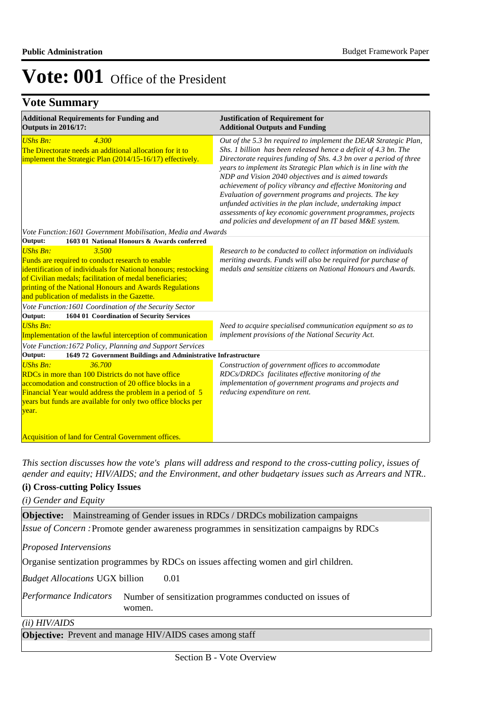## **Vote Summary**

| <b>Additional Requirements for Funding and</b><br><b>Outputs in 2016/17:</b>                                                                                                                                                                                                                                                           | <b>Justification of Requirement for</b><br><b>Additional Outputs and Funding</b>                                                                                                                                                                                                                                                                                                                                                                                                                                                                                                                                                                       |  |
|----------------------------------------------------------------------------------------------------------------------------------------------------------------------------------------------------------------------------------------------------------------------------------------------------------------------------------------|--------------------------------------------------------------------------------------------------------------------------------------------------------------------------------------------------------------------------------------------------------------------------------------------------------------------------------------------------------------------------------------------------------------------------------------------------------------------------------------------------------------------------------------------------------------------------------------------------------------------------------------------------------|--|
| <b>UShs Bn:</b><br>4.300<br>The Directorate needs an additional allocation for it to<br>implement the Strategic Plan (2014/15-16/17) effectively.                                                                                                                                                                                      | Out of the 5.3 bn required to implement the DEAR Strategic Plan,<br>Shs. 1 billion has been released hence a deficit of 4.3 bn. The<br>Directorate requires funding of Shs. 4.3 bn over a period of three<br>years to implement its Strategic Plan which is in line with the<br>NDP and Vision 2040 objectives and is aimed towards<br>achievement of policy vibrancy and effective Monitoring and<br>Evaluation of government programs and projects. The key<br>unfunded activities in the plan include, undertaking impact<br>assessments of key economic government programmes, projects<br>and policies and development of an IT based M&E system. |  |
| Vote Function: 1601 Government Mobilisation, Media and Awards<br>1603 01 National Honours & Awards conferred<br>Output:                                                                                                                                                                                                                |                                                                                                                                                                                                                                                                                                                                                                                                                                                                                                                                                                                                                                                        |  |
| <b>UShs Bn:</b><br>3.500<br>Funds are required to conduct research to enable<br>identification of individuals for National honours; restocking<br>of Civilian medals; facilitation of medal beneficiaries;<br>printing of the National Honours and Awards Regulations<br>and publication of medalists in the Gazette.                  | Research to be conducted to collect information on individuals<br>meriting awards. Funds will also be required for purchase of<br>medals and sensitize citizens on National Honours and Awards.                                                                                                                                                                                                                                                                                                                                                                                                                                                        |  |
| Vote Function: 1601 Coordination of the Security Sector                                                                                                                                                                                                                                                                                |                                                                                                                                                                                                                                                                                                                                                                                                                                                                                                                                                                                                                                                        |  |
| 1604 01 Coordination of Security Services<br>Output:<br><b>UShs Bn:</b><br>Implementation of the lawful interception of communication<br>Vote Function: 1672 Policy, Planning and Support Services                                                                                                                                     | Need to acquire specialised communication equipment so as to<br>implement provisions of the National Security Act.                                                                                                                                                                                                                                                                                                                                                                                                                                                                                                                                     |  |
| 1649 72 Government Buildings and Administrative Infrastructure<br>Output:                                                                                                                                                                                                                                                              |                                                                                                                                                                                                                                                                                                                                                                                                                                                                                                                                                                                                                                                        |  |
| <b>UShs Bn:</b><br>36.700<br>RDCs in more than 100 Districts do not have office<br>accomodation and construction of 20 office blocks in a<br>Financial Year would address the problem in a period of 5<br>years but funds are available for only two office blocks per<br>year.<br>Acquisition of land for Central Government offices. | Construction of government offices to accommodate<br>RDCs/DRDCs facilitates effective monitoring of the<br>implementation of government programs and projects and<br>reducing expenditure on rent.                                                                                                                                                                                                                                                                                                                                                                                                                                                     |  |

*This section discusses how the vote's plans will address and respond to the cross-cutting policy, issues of gender and equity; HIV/AIDS; and the Environment, and other budgetary issues such as Arrears and NTR..* 

### **(i) Cross-cutting Policy Issues**

*(i) Gender and Equity*

**Objective:** Mainstreaming of Gender issues in RDCs / DRDCs mobilization campaigns *Issue of Concern* : Promote gender awareness programmes in sensitization campaigns by RDCs

*Proposed Intervensions* 

Organise sentization programmes by RDCs on issues affecting women and girl children.

0.01 *Budget Allocations*  UGX billion

Number of sensitization programmes conducted on issues of women. *Performance Indicators*

#### *(ii) HIV/AIDS*

**Objective:** Prevent and manage HIV/AIDS cases among staff